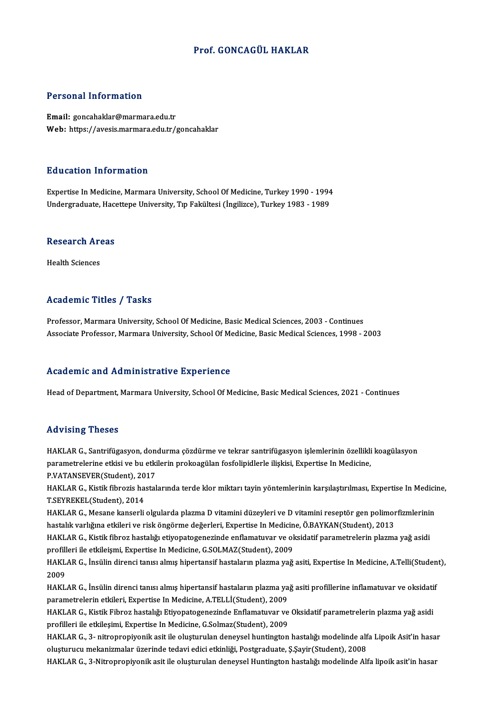#### Prof. GONCAGÜL HAKLAR

#### Personal Information

Email: goncahaklar@marmara.edu.tr Web: https://avesis.marmara.edu.tr/goncahaklar

#### Education Information

Education Information<br>Expertise In Medicine, Marmara University, School Of Medicine, Turkey 1990 - 1994<br>Undergraduate Hasettene University, Tur Fekültesi (İngilizce), Turkey 1992 - 1999 Luusuteen IIII of Indersin<br>Expertise In Medicine, Marmara University, School Of Medicine, Turkey 1990 - 1994<br>Undergraduate, Hacettepe University, Tıp Fakültesi (İngilizce), Turkey 1983 - 1989

# ondergraduate, nace<br>Research Areas R<mark>esearch Ar</mark><br>Health Sciences

# Academic Titles / Tasks

Professor, Marmara University, School Of Medicine, Basic Medical Sciences, 2003 - Continues Associate Professor, Marmara University, School Of Medicine, Basic Medical Sciences, 1998 - 2003

#### Academic and Administrative Experience

Head of Department, Marmara University, School Of Medicine, Basic Medical Sciences, 2021 - Continues

#### Advising Theses

Advising Theses<br>HAKLAR G., Santrifügasyon, dondurma çözdürme ve tekrar santrifügasyon işlemlerinin özellikli koagülasyon<br>narametrelerine etkisi ve bu etkilerin prokaggülar fosfolinidlerle ikeltisi. Evnertise In Medisine rta vising "risses"<br>HAKLAR G., Santrifügasyon, dondurma çözdürme ve tekrar santrifügasyon işlemlerinin özellikli<br>parametrelerine etkisi ve bu etkilerin prokoagülan fosfolipidlerle ilişkisi, Expertise In Medicine,<br>P.VATANSE HAKLAR G., Santrifügasyon, don<br>parametrelerine etkisi ve bu etki<br>P.VATANSEVER(Student), 2017<br>HAKLAR G. Kistik fibroria bastal parametrelerine etkisi ve bu etkilerin prokoagülan fosfolipidlerle ilişkisi, Expertise In Medicine,<br>P.VATANSEVER(Student), 2017<br>HAKLAR G., Kistik fibrozis hastalarında terde klor miktarı tayin yöntemlerinin karşılaştırılma

P.VATANSEVER(Student), 20<br>HAKLAR G., Kistik fibrozis ha:<br>T.SEYREKEL(Student), 2014<br>HAKLAB G. Mesane kanserli HAKLAR G., Kistik fibrozis hastalarında terde klor miktarı tayin yöntemlerinin karşılaştırılması, Expertise In Medici<br>T.SEYREKEL(Student), 2014<br>HAKLAR G., Mesane kanserli olgularda plazma D vitamini düzeyleri ve D vitamini

T.SEYREKEL(Student), 2014<br>HAKLAR G., Mesane kanserli olgularda plazma D vitamini düzeyleri ve D vitamini reseptör gen polimor<br>hastalık varlığına etkileri ve risk öngörme değerleri, Expertise In Medicine, Ö.BAYKAN(Student), HAKLAR G., Mesane kanserli olgularda plazma D vitamini düzeyleri ve D vitamini reseptör gen polimorfizmlerini<br>hastalık varlığına etkileri ve risk öngörme değerleri, Expertise In Medicine, Ö.BAYKAN(Student), 2013<br>HAKLAR G.,

hastalık varlığına etkileri ve risk öngörme değerleri, Expertise In Medicin<br>HAKLAR G., Kistik fibroz hastalığı etiyopatogenezinde enflamatuvar ve ol<br>profilleri ile etkileişmi, Expertise In Medicine, G.SOLMAZ(Student), 2009 HAKLAR G., Kistik fibroz hastalığı etiyopatogenezinde enflamatuvar ve oksidatif parametrelerin plazma yağ asidi<br>profilleri ile etkileişmi, Expertise In Medicine, G.SOLMAZ(Student), 2009<br>HAKLAR G., İnsülin direnci tanısı al

profil<mark>l</mark><br>HAKL<br>2009<br>HAVI HAKLAR G., İnsülin direnci tanısı almış hipertansif hastaların plazma yağ asiti, Expertise In Medicine, A.Telli(Studen<br>2009<br>HAKLAR G., İnsülin direnci tanısı almış hipertansif hastaların plazma yağ asiti profillerine infla

2009<br>HAKLAR G., İnsülin direnci tanısı almış hipertansif hastaların plazma ya<br>parametrelerin etkileri, Expertise In Medicine, A.TELLİ(Student), 2009<br>HAKLAR G. Kistik Eihrer hastalığı Etiyopatesenesinde Enflametyyar ye HAKLAR G., İnsülin direnci tanısı almış hipertansif hastaların plazma yağ asiti profillerine inflamatuvar ve oksidati<br>parametrelerin etkileri, Expertise In Medicine, A.TELLİ(Student), 2009<br>HAKLAR G., Kistik Fibroz hastalığ

parametrelerin etkileri, Expertise In Medicine, A.TELLİ(Student), 2009<br>HAKLAR G., Kistik Fibroz hastalığı Etiyopatogenezinde Enflamatuvar ve Oksidatif parametrelerin plazma yağ asidi<br>profilleri ile etkileşimi, Expertise In HAKLAR G., Kistik Fibroz hastalığı Etiyopatogenezinde Enflamatuvar ve Oksidatif parametrelerin plazma yağ asidi<br>profilleri ile etkileşimi, Expertise In Medicine, G.Solmaz(Student), 2009<br>HAKLAR G., 3- nitropropiyonik asit i

profilleri ile etkileşimi, Expertise In Medicine, G.Solmaz(Student), 2009<br>HAKLAR G., 3- nitropropiyonik asit ile oluşturulan deneysel huntington hastalığı modelinde alf<br>oluşturucu mekanizmalar üzerinde tedavi edici etkinli oluşturucu mekanizmalar üzerinde tedavi edici etkinliği, Postgraduate, Ş.Şayir(Student), 2008<br>HAKLAR G., 3-Nitropropiyonik asit ile oluşturulan deneysel Huntington hastalığı modelinde Alfa lipoik asit'in hasar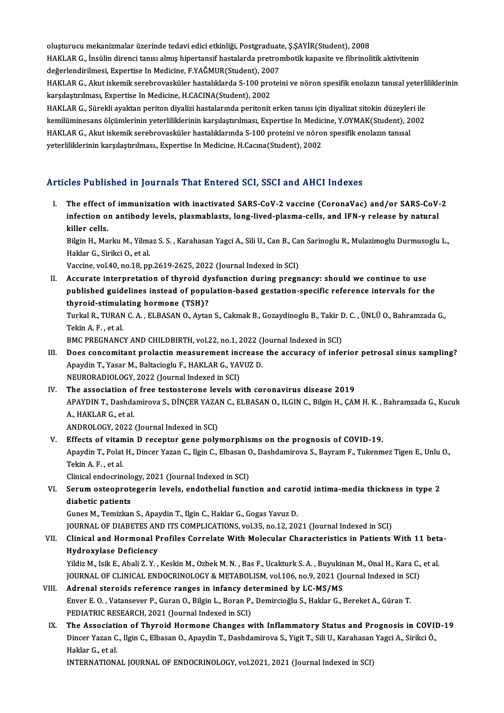oluşturucu mekanizmalar üzerinde tedavi edici etkinliği, Postgraduate, Ş.ŞAYİR(Student), 2008<br>HAKLAR G. İngülin dinangi tanısı almış bineytangif baştalarda pretrembetik kanagite ve fibrineli HAKLAR G., İnsülin direnci tanısı almış hipertansif hastalarda pretrombotik kapasite ve fibrinolitik aktivitenin oluşturucu mekanizmalar üzerinde tedavi edici etkinliği, Postgraduat<br>HAKLAR G., İnsülin direnci tanısı almış hipertansif hastalarda pretror<br>değerlendirilmesi, Expertise In Medicine, F.YAĞMUR(Student), 2007<br>HAKLAR G. Alpıt HAKLAR G., İnsülin direnci tanısı almış hipertansif hastalarda pretrombotik kapasite ve fibrinolitik aktivitenin<br>değerlendirilmesi, Expertise In Medicine, F.YAĞMUR(Student), 2007<br>HAKLAR G., Akut iskemik serebrovasküler has

değerlendirilmesi, Expertise In Medicine, F.YAĞMUR(Student), 2007<br>HAKLAR G., Akut iskemik serebrovasküler hastalıklarda S-100 prote<br>karşılaştırılması, Expertise In Medicine, H.CACINA(Student), 2002 HAKLAR G., Akut iskemik serebrovasküler hastalıklarda S-100 proteini ve nöron spesifik enolazın tanısal yeterli<br>karşılaştırılması, Expertise In Medicine, H.CACINA(Student), 2002<br>HAKLAR G., Sürekli ayaktan periton diyalizi

HAKLAR G., Sürekli ayaktan periton diyalizi hastalarında peritonit erken tanısı için diyalizat sitokin düzeyleri ile<br>kemilüminesans ölçümlerinin yeterliliklerinin karşılaştırılması, Expertise In Medicine, Y.OYMAK(Student), HAKLAR G., Sürekli ayaktan periton diyalizi hastalarında peritonit erken tanısı için diyalizat sitokin düzeyle<br>kemilüminesans ölçümlerinin yeterliliklerinin karşılaştırılması, Expertise In Medicine, Y.OYMAK(Student), 2<br>HAK kemilüminesans ölçümlerinin yeterliliklerinin karşılaştırılması, Expertise In Medic<br>HAKLAR G., Akut iskemik serebrovasküler hastalıklarında S-100 proteini ve nöro<br>yeterliliklerinin karşılaştırılması., Expertise In Medicine

# yeterliliklerinin karşılaştırılması., Expertise In Medicine, H.Cacına(Student), 2002<br>Articles Published in Journals That Entered SCI, SSCI and AHCI Indexes

I. The effect of immunization with inactivated SARS-CoV-2 vaccine (CoronaVac) and/or SARS-CoV-2 ince i deficinculary your hadden counted correct our section in the financies.<br>The effect of immunization with inactivated SARS-CoV-2 vaccine (CoronaVac) and/or SARS-CoV-<br>liller celle The effect<br>infection of<br>killer cells.<br><sup>Bilgin H.</sup> Ma infection on antibody levels, plasmablasts, long-lived-plasma-cells, and IFN-γ release by natural<br>killer cells.<br>Bilgin H., Marku M., Yilmaz S. S. , Karahasan Yagci A., Sili U., Can B., Can Sarinoglu R., Mulazimoglu Durmus

killer cells.<br>Bilgin H., Marku M., Yilma<br>Haklar G., Sirikci O., et al.<br>Vessine vel 40 ne 19 nn Bilgin H., Marku M., Yilmaz S. S. , Karahasan Yagci A., Sili U., Can B., Ca<br>Haklar G., Sirikci O., et al.<br>Vaccine, vol.40, no.18, pp.2619-2625, 2022 (Journal Indexed in SCI)<br>Accurate interpretation of thuroid dygfungtion d

Haklar G., Sirikci O., et al.<br>Vaccine, vol.40, no.18, pp.2619-2625, 2022 (Journal Indexed in SCI)<br>II. Accurate interpretation of thyroid dysfunction during pregnancy: should we continue to use Vaccine, vol.40, no.18, pp.2619-2625, 2022 (Journal Indexed in SCI)<br>Accurate interpretation of thyroid dysfunction during pregnancy: should we continue to use<br>published guidelines instead of population-based gestation-spec Accurate interpretation of thyroid dy<br>published guidelines instead of popu<br>thyroid-stimulating hormone (TSH)?<br>Turkel B. TUBAN C.A. ELBASAN O. Aytar published guidelines instead of population-based gestation-specific reference intervals for the<br>thyroid-stimulating hormone (TSH)?<br>Turkal R., TURAN C. A. , ELBASAN O., Aytan S., Cakmak B., Gozaydinoglu B., Takir D. C. , ÜN

thyroid-stimula<br>Turkal R., TURAN<br>Tekin A. F. , et al.<br>PMC PRECNANC Turkal R., TURAN C. A. , ELBASAN O., Aytan S., Cakmak B., Gozaydinoglu B., Takir I<br>Tekin A. F. , et al.<br>BMC PREGNANCY AND CHILDBIRTH, vol.22, no.1, 2022 (Journal Indexed in SCI)<br>Dess sensemitant prelastin measurement inste

- Tekin A. F. , et al.<br>BMC PREGNANCY AND CHILDBIRTH, vol.22, no.1, 2022 (Journal Indexed in SCI)<br>III. Does concomitant prolactin measurement increase the accuracy of inferior petrosal sinus sampling? BMC PREGNANCY AND CHILDBIRTH, vol.22, no.1, 2022 ()<br>Does concomitant prolactin measurement increase<br>Apaydin T., Yasar M., Baltacioglu F., HAKLAR G., YAVUZ D.<br>NEUPORADIOLOCY 2022 (Journal Indoved in SCD. Does concomitant prolactin measurement inc<br>Apaydin T., Yasar M., Baltacioglu F., HAKLAR G., YAV<br>NEURORADIOLOGY, 2022 (Journal Indexed in SCI)<br>The association of free testesterene levels w
- NEURORADIOLOGY, 2022 (Journal Indexed in SCI)<br>IV. The association of free testosterone levels with coronavirus disease 2019 NEURORADIOLOGY, 2022 (Journal Indexed in SCI)<br>The association of free testosterone levels with coronavirus disease 2019<br>APAYDIN T., Dashdamirova S., DİNÇER YAZAN C., ELBASAN O., ILGIN C., Bilgin H., ÇAM H. K. , Bahramzada The association of<br>APAYDIN T., Dashda<br>A., HAKLAR G., et al.<br>ANDROLOCY 2022 APAYDIN T., Dashdamirova S., DİNÇER YAZA<br>A., HAKLAR G., et al.<br>ANDROLOGY, 2022 (Journal Indexed in SCI)<br>Effects of vitamin D. recenter sono poly A., HAKLAR G., et al.<br>ANDROLOGY, 2022 (Journal Indexed in SCI)<br>V. Effects of vitamin D receptor gene polymorphisms on the prognosis of COVID-19.<br>Apaydin T. Polat H. Dinger Varan C. Hrip C. Elbason O. Dechdaminews S. Bayram

ANDROLOGY, 2022 (Journal Indexed in SCI)<br>Effects of vitamin D receptor gene polymorphisms on the prognosis of COVID-19.<br>Apaydin T., Polat H., Dincer Yazan C., Ilgin C., Elbasan O., Dashdamirova S., Bayram F., Tukenmez Tige Effects of vitan<br>Apaydin T., Polat<br>Tekin A. F. , et al.<br>Clinical ordosuin Apaydin T., Polat H., Dincer Yazan C., Ilgin C., Elbasan C<br>Tekin A. F. , et al.<br>Clinical endocrinology, 2021 (Journal Indexed in SCI)<br>Serum esteenretegerin levels, endothelial funct

Clinical endocrinology, 2021 (Journal Indexed in SCI)

Tekin A. F. , et al.<br>Clinical endocrinology, 2021 (Journal Indexed in SCI)<br>VI. Serum osteoprotegerin levels, endothelial function and carotid intima-media thickness in type 2<br>diabetic patients diabetic patients<br>Gunes M., Temizkan S., Apaydin T., Ilgin C., Haklar G., Gogas Yavuz D.<br>JOURNAL OF DIABETES AND ITS COMPLICATIONS, vol.35, no.12, 2021 (Journal Indexed in SCI)<br>Clinical and Harmonal Brafiles Correlate With

Gunes M., Temizkan S., Apaydin T., Ilgin C., Haklar G., Gogas Yavuz D.

## Gunes M., Temizkan S., Apaydin T., Ilgin C., Haklar G., Gogas Yavuz D.<br>JOURNAL OF DIABETES AND ITS COMPLICATIONS, vol.35, no.12, 2021 (Journal Indexed in SCI)<br>VII. Clinical and Hormonal Profiles Correlate With Molecular Ch JOURNAL OF DIABETES AN<br>Clinical and Hormonal P<br>Hydroxylase Deficiency<br><sup>Vildia</sup> M. J<sup>oik E</sup>. Abali 7, V VII. Clinical and Hormonal Profiles Correlate With Molecular Characteristics in Patients With 11 beta-<br>Hydroxylase Deficiency

Yildiz M., Isik E., Abali Z.Y., Keskin M., Ozbek M.N., Bas F., Ucakturk S.A., Buyukinan M., Onal H., Kara C., et al. Vildiz M., Isik E., Abali Z. Y., Keskin M., Ozbek M. N., Bas F., Ucakturk S. A., Buyukir<br>JOURNAL OF CLINICAL ENDOCRINOLOGY & METABOLISM, vol.106, no.9, 2021 (Journal steroids reference ranges in infancy determined by LC-MS

- JOURNAL OF CLINICAL ENDOCRINOLOGY & METABOLISM, vol.106, no.9, 2021 (Journal Indexed in SCI)<br>Adrenal steroids reference ranges in infancy determined by LC-MS/MS<br>Enver E.O., Vatansever P., Guran O., Bilgin L., Boran P., Dem Adrenal steroids reference ranges in infancy de<br>Enver E.O., Vatansever P., Guran O., Bilgin L., Boran P.,<br>PEDIATRIC RESEARCH, 2021 (Journal Indexed in SCI)<br>The Association of Thunoid Hormone Changes :
- IX. The Association of Thyroid Hormone Changes with Inflammatory Status and Prognosis in COVID-19 PEDIATRIC RESEARCH, 2021 (Journal Indexed in SCI)<br>The Association of Thyroid Hormone Changes with Inflammatory Status and Prognosis in COVII<br>Dincer Yazan C., Ilgin C., Elbasan O., Apaydin T., Dashdamirova S., Yigit T., Sil The Associati<br>Dincer Yazan C<br>Haklar G., et al.<br>INTERNATION Dincer Yazan C., Ilgin C., Elbasan O., Apaydin T., Dashdamirova S., Yigit T., Sili U., Karahasan<br>Haklar G., et al.<br>INTERNATIONAL JOURNAL OF ENDOCRINOLOGY, vol.2021, 2021 (Journal Indexed in SCI)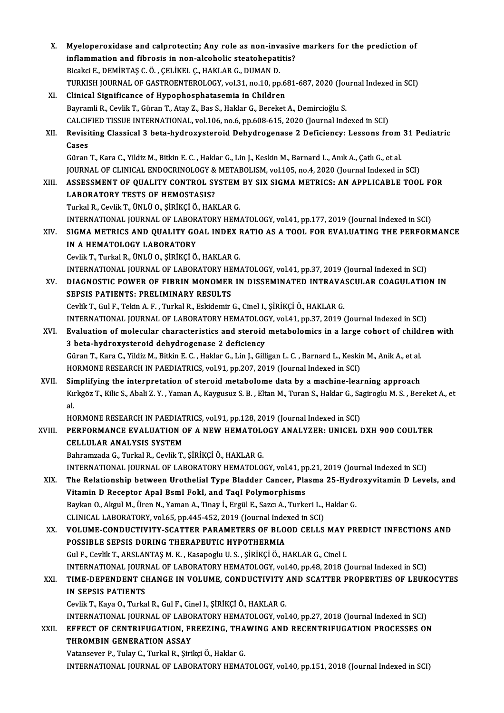| X.     | Myeloperoxidase and calprotectin; Any role as non-invasive markers for the prediction of                                    |
|--------|-----------------------------------------------------------------------------------------------------------------------------|
|        | inflammation and fibrosis in non-alcoholic steatohepatitis?                                                                 |
|        | Bicakci E., DEMİRTAŞ C. Ö., ÇELİKEL Ç., HAKLAR G., DUMAN D.                                                                 |
|        | TURKISH JOURNAL OF GASTROENTEROLOGY, vol.31, no.10, pp.681-687, 2020 (Journal Indexed in SCI)                               |
| XI.    | Clinical Significance of Hypophosphatasemia in Children                                                                     |
|        | Bayramli R., Cevlik T., Güran T., Atay Z., Bas S., Haklar G., Bereket A., Demircioğlu S.                                    |
|        | CALCIFIED TISSUE INTERNATIONAL, vol.106, no.6, pp.608-615, 2020 (Journal Indexed in SCI)                                    |
| XII.   | Revisiting Classical 3 beta-hydroxysteroid Dehydrogenase 2 Deficiency: Lessons from 31 Pediatric<br>Cases                   |
|        | Güran T., Kara C., Yildiz M., Bitkin E. C., Haklar G., Lin J., Keskin M., Barnard L., Anık A., Çatlı G., et al.             |
|        | JOURNAL OF CLINICAL ENDOCRINOLOGY & METABOLISM, vol.105, no.4, 2020 (Journal Indexed in SCI)                                |
| XIII.  | ASSESSMENT OF QUALITY CONTROL SYSTEM BY SIX SIGMA METRICS: AN APPLICABLE TOOL FOR                                           |
|        | <b>LABORATORY TESTS OF HEMOSTASIS?</b>                                                                                      |
|        | Turkal R., Cevlik T., ÜNLÜ O., ŞİRİKÇİ Ö., HAKLAR G.                                                                        |
|        | INTERNATIONAL JOURNAL OF LABORATORY HEMATOLOGY, vol.41, pp.177, 2019 (Journal Indexed in SCI)                               |
| XIV.   | SIGMA METRICS AND QUALITY GOAL INDEX RATIO AS A TOOL FOR EVALUATING THE PERFORMANCE                                         |
|        | IN A HEMATOLOGY LABORATORY                                                                                                  |
|        | Cevlik T., Turkal R., ÜNLÜ O., ŞİRİKÇİ Ö., HAKLAR G.                                                                        |
|        | INTERNATIONAL JOURNAL OF LABORATORY HEMATOLOGY, vol.41, pp.37, 2019 (Journal Indexed in SCI)                                |
| XV.    | DIAGNOSTIC POWER OF FIBRIN MONOMER IN DISSEMINATED INTRAVASCULAR COAGULATION IN                                             |
|        | <b>SEPSIS PATIENTS: PRELIMINARY RESULTS</b>                                                                                 |
|        | Cevlik T., Gul F., Tekin A. F., Turkal R., Eskidemir G., Cinel I., ŞİRİKÇİ Ö., HAKLAR G.                                    |
|        | INTERNATIONAL JOURNAL OF LABORATORY HEMATOLOGY, vol.41, pp.37, 2019 (Journal Indexed in SCI)                                |
| XVI.   | Evaluation of molecular characteristics and steroid metabolomics in a large cohort of children with                         |
|        | 3 beta-hydroxysteroid dehydrogenase 2 deficiency                                                                            |
|        | Güran T., Kara C., Yildiz M., Bitkin E. C., Haklar G., Lin J., Gilligan L. C., Barnard L., Keskin M., Anik A., et al.       |
|        | HORMONE RESEARCH IN PAEDIATRICS, vol.91, pp.207, 2019 (Journal Indexed in SCI)                                              |
| XVII.  | Simplifying the interpretation of steroid metabolome data by a machine-learning approach                                    |
|        | Kırkgöz T., Kilic S., Abali Z. Y., Yaman A., Kaygusuz S. B., Eltan M., Turan S., Haklar G., Sagiroglu M. S., Bereket A., et |
|        | al.                                                                                                                         |
|        | HORMONE RESEARCH IN PAEDIATRICS, vol.91, pp.128, 2019 (Journal Indexed in SCI)                                              |
| XVIII. | PERFORMANCE EVALUATION OF A NEW HEMATOLOGY ANALYZER: UNICEL DXH 900 COULTER                                                 |
|        | <b>CELLULAR ANALYSIS SYSTEM</b>                                                                                             |
|        | Bahramzada G., Turkal R., Cevlik T., ŞİRİKÇİ Ö., HAKLAR G.                                                                  |
|        | INTERNATIONAL JOURNAL OF LABORATORY HEMATOLOGY, vol.41, pp.21, 2019 (Journal Indexed in SCI)                                |
| XIX.   | The Relationship between Urothelial Type Bladder Cancer, Plasma 25-Hydroxyvitamin D Levels, and                             |
|        | Vitamin D Receptor Apal BsmI FokI, and TaqI Polymorphisms                                                                   |
|        | Baykan O., Akgul M., Üren N., Yaman A., Tinay İ., Ergül E., Sazcı A., Turkeri L., Haklar G.                                 |
|        | CLINICAL LABORATORY, vol.65, pp.445-452, 2019 (Journal Indexed in SCI)                                                      |
| XX.    | VOLUME-CONDUCTIVITY-SCATTER PARAMETERS OF BLOOD CELLS MAY PREDICT INFECTIONS AND                                            |
|        | POSSIBLE SEPSIS DURING THERAPEUTIC HYPOTHERMIA                                                                              |
|        | Gul F., Cevlik T., ARSLANTAŞ M. K., Kasapoglu U. S., ŞİRİKÇİ Ö., HAKLAR G., Cinel I.                                        |
|        | INTERNATIONAL JOURNAL OF LABORATORY HEMATOLOGY, vol.40, pp.48, 2018 (Journal Indexed in SCI)                                |
| XXI.   | TIME-DEPENDENT CHANGE IN VOLUME, CONDUCTIVITY AND SCATTER PROPERTIES OF LEUKOCYTES                                          |
|        | <b>IN SEPSIS PATIENTS</b>                                                                                                   |
|        | Cevlik T., Kaya O., Turkal R., Gul F., Cinel I., ŞİRİKÇİ Ö., HAKLAR G.                                                      |
|        | INTERNATIONAL JOURNAL OF LABORATORY HEMATOLOGY, vol.40, pp.27, 2018 (Journal Indexed in SCI)                                |
| XXII.  | EFFECT OF CENTRIFUGATION, FREEZING, THAWING AND RECENTRIFUGATION PROCESSES ON                                               |
|        | THROMBIN GENERATION ASSAY                                                                                                   |
|        | Vatansever P., Tulay C., Turkal R., Şirikçi Ö., Haklar G.                                                                   |
|        | INTERNATIONAL JOURNAL OF LABORATORY HEMATOLOGY, vol.40, pp.151, 2018 (Journal Indexed in SCI)                               |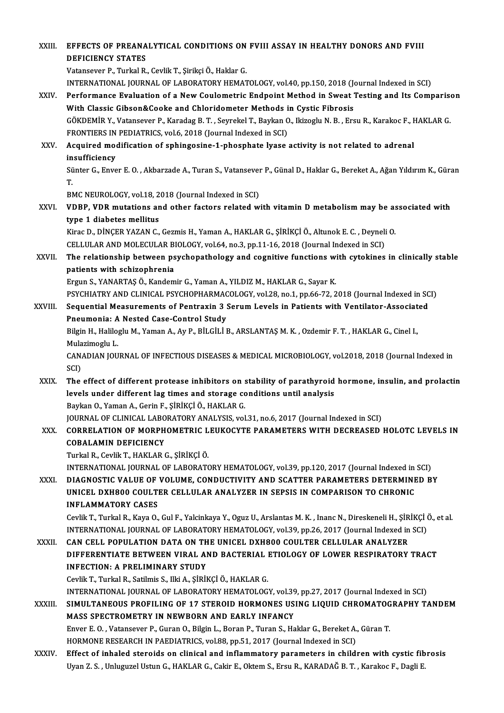XXI I. EFFECTS OF PREANALYTICAL CONDITIONS ON FVII ASSAY IN HEALTHY DONORS AND FVII EFFECTS OF PREANA<br>DEFICIENCY STATES<br>Vetancever B. Turkel B. EFFECTS OF PREANALYTICAL CONDITIONS ON<br>DEFICIENCY STATES<br>Vatansever P., Turkal R., Cevlik T., Şirikçi Ö., Haklar G.<br>INTERNATIONAL JOURNAL OF LARORATORY HEMAT DEFICIENCY STATES<br>Vatansever P., Turkal R., Cevlik T., Şirikçi Ö., Haklar G.<br>INTERNATIONAL JOURNAL OF LABORATORY HEMATOLOGY, vol.40, pp.150, 2018 (Journal Indexed in SCI)<br>Performance Evaluation of a New Coulematric Endnoin Vatansever P., Turkal R., Cevlik T., Şirikçi Ö., Haklar G.<br>INTERNATIONAL JOURNAL OF LABORATORY HEMATOLOGY, vol.40, pp.150, 2018 (Journal Indexed in SCI)<br>XXIV. Performance Evaluation of a New Coulometric Endpoint Method in INTERNATIONAL JOURNAL OF LABORATORY HEMATOLOGY, vol.40, pp.150, 2018 (Journance Evaluation of a New Coulometric Endpoint Method in Sweat ?<br>With Classic Gibson&Cooke and Chloridometer Methods in Cystic Fibrosis<br>COVDEMIP V, Performance Evaluation of a New Coulometric Endpoint Method in Sweat Testing and Its Comparise<br>With Classic Gibson&Cooke and Chloridometer Methods in Cystic Fibrosis<br>GÖKDEMİR Y., Vatansever P., Karadag B. T. , Seyrekel T., With Classic Gibson&Cooke and Chloridometer Methods in<br>GÖKDEMİR Y., Vatansever P., Karadag B. T. , Seyrekel T., Baykan C<br>FRONTIERS IN PEDIATRICS, vol.6, 2018 (Journal Indexed in SCI) GÖKDEMİR Y., Vatansever P., Karadag B. T. , Seyrekel T., Baykan O., Ikizoglu N. B. , Ersu R., Karakoc F., I<br>FRONTIERS IN PEDIATRICS, vol.6, 2018 (Journal Indexed in SCI)<br>XXV. Acquired modification of sphingosine-1-phosphat FRONTIERS IN<br>Acquired mot<br>insufficiency<br>Sünter C. Enve Acquired modification of sphingosine-1-phosphate lyase activity is not related to adrenal<br>insufficiency<br>Sünter G., Enver E. O. , Akbarzade A., Turan S., Vatansever P., Günal D., Haklar G., Bereket A., Ağan Yıldırım K., Gür in<br>Sü<br>ים Sünter G., Enver E. O. , Akbarzade A., Turan S., Vatansever<br>T.<br>BMC NEUROLOGY, vol.18, 2018 (Journal Indexed in SCI)<br>VDBB, VDB, mutations and other fasters related w T.<br>BMC NEUROLOGY, vol.18, 2018 (Journal Indexed in SCI)<br>XXVI. **VDBP, VDR mutations and other factors related with vitamin D metabolism may be associated with**<br>time 1 diebates mellitus BMC NEUROLOGY, vol.18, 2<br>VDBP, VDR mutations are<br>type 1 diabetes mellitus<br><sup>Vince D.</sup> D<sup>incep vazan C</sup> VDBP, VDR mutations and other factors related with vitamin D metabolism may be as<br>type 1 diabetes mellitus<br>Kirac D., DİNÇER YAZAN C., Gezmis H., Yaman A., HAKLAR G., ŞİRİKÇİ Ö., Altunok E. C. , Deyneli O.<br>CELLULAR AND MOLE type 1 diabetes mellitus<br>Kirac D., DİNÇER YAZAN C., Gezmis H., Yaman A., HAKLAR G., ŞİRİKÇİ Ö., Altunok E. C. , Deyneli O.<br>CELLULAR AND MOLECULAR BIOLOGY, vol.64, no.3, pp.11-16, 2018 (Journal Indexed in SCI) Kirac D., DİNÇER YAZAN C., Gezmis H., Yaman A., HAKLAR G., ŞİRİKÇİ Ö., Altunok E. C. , Deyneli O.<br>CELLULAR AND MOLECULAR BIOLOGY, vol.64, no.3, pp.11-16, 2018 (Journal Indexed in SCI)<br>XXVII. The relationship between ps CELLULAR AND MOLECULAR B<br>The relationship between ps<br>patients with schizophrenia<br>Ergun S. VANAPTAS Ö. Kandam The relationship between psychopathology and cognitive functions wi<br>patients with schizophrenia<br>Ergun S., YANARTAŞ Ö., Kandemir G., Yaman A., YILDIZ M., HAKLAR G., Sayar K.<br>PSYCHIATRY AND CLINICAL PSYCHOPHAPMACOLOCY vol 29 patients with schizophrenia<br>Ergun S., YANARTAŞ Ö., Kandemir G., Yaman A., YILDIZ M., HAKLAR G., Sayar K.<br>PSYCHIATRY AND CLINICAL PSYCHOPHARMACOLOGY, vol.28, no.1, pp.66-72, 2018 (Journal Indexed in SCI)<br>Sequential Measurem Ergun S., YANARTAŞ Ö., Kandemir G., Yaman A., YILDIZ M., HAKLAR G., Sayar K.<br>PSYCHIATRY AND CLINICAL PSYCHOPHARMACOLOGY, vol.28, no.1, pp.66-72, 2018 (Journal Indexed in SC<br>XXVIII. Sequential Measurements of Pentraxin 3 Se PSYCHIATRY AND CLINICAL PSYCHOPHARMAC<br>Sequential Measurements of Pentraxin 3 :<br>Pneumonia: A Nested Case-Control Study<br>Pilgin H. Haliloglu M. Yaman A, Ay B, BlI ClI I I Sequential Measurements of Pentraxin 3 Serum Levels in Patients with Ventilator-Associat<br>Pneumonia: A Nested Case-Control Study<br>Bilgin H., Haliloglu M., Yaman A., Ay P., BİLGİLİ B., ARSLANTAŞ M. K. , Ozdemir F. T. , HAKLAR P<mark>neumonia: A</mark><br>Bilgin H., Halilo<sub>l</sub><br>Mulazimoglu L.<br>CANADIAN IOU Bilgin H., Haliloglu M., Yaman A., Ay P., BİLGİLİ B., ARSLANTAŞ M. K. , Ozdemir F. T. , HAKLAR G., Cinel I.,<br>Mulazimoglu L.<br>CANADIAN JOURNAL OF INFECTIOUS DISEASES & MEDICAL MICROBIOLOGY, vol.2018, 2018 (Journal Indexed in Mula<br>CAN<br>SCI)<br>The CANADIAN JOURNAL OF INFECTIOUS DISEASES & MEDICAL MICROBIOLOGY, vol.2018, 2018 (Journal Indexed in<br>SCI)<br>XXIX. The effect of different protease inhibitors on stability of parathyroid hormone, insulin, and prolactin<br>layels u SCI)<br>The effect of different protease inhibitors on stability of parathyroid<br>levels under different lag times and storage conditions until analysis<br>Paylan Q. Yaman A. Carin E. Sinivet Ö. HAVLAR C levels under different lag times and storage conditions until analysis<br>Baykan O., Yaman A., Gerin F., ŞİRİKÇİ Ö., HAKLAR G. JOURNAL OF CLINICAL LABORATORY ANALYSIS, vol.31, no.6, 2017 (Journal Indexed in SCI) Baykan O., Yaman A., Gerin F., ŞİRİKÇİ Ö., HAKLAR G.<br>JOURNAL OF CLINICAL LABORATORY ANALYSIS, vol.31, no.6, 2017 (Journal Indexed in SCI)<br>XXX. CORRELATION OF MORPHOMETRIC LEUKOCYTE PARAMETERS WITH DECREASED HOLOTC LEVE JOURNAL OF CLINICAL LABO<br>CORRELATION OF MORPH<br>COBALAMIN DEFICIENCY<br>Turkel B. Covilis T. HAKLAB ( COBALAMIN DEFICIENCY<br>Turkal R., Cevlik T., HAKLAR G., ŞİRİKÇİ Ö. COBALAMIN DEFICIENCY<br>Turkal R., Cevlik T., HAKLAR G., ŞİRİKÇİ Ö.<br>INTERNATIONAL JOURNAL OF LABORATORY HEMATOLOGY, vol.39, pp.120, 2017 (Journal Indexed in SCI)<br>DIACNOSTIC VALUE OF VOLUME, CONDUCTIVITY AND SCATTER BARAMETERS Turkal R., Cevlik T., HAKLAR G., ŞİRİKÇİ Ö.<br>INTERNATIONAL JOURNAL OF LABORATORY HEMATOLOGY, vol.39, pp.120, 2017 (Journal Indexed in SCI)<br>XXXI. DIAGNOSTIC VALUE OF VOLUME, CONDUCTIVITY AND SCATTER PARAMETERS DETERMINED INTERNATIONAL JOURNAL OF LABORATORY HEMATOLOGY, vol.39, pp.120, 2017 (Journal Indexed in<br>DIAGNOSTIC VALUE OF VOLUME, CONDUCTIVITY AND SCATTER PARAMETERS DETERMINE<br>UNICEL DXH800 COULTER CELLULAR ANALYZER IN SEPSIS IN COMPAR DIAGNOSTIC VALUE OF VOLUME, CONDUCTIVITY AND SCATTER PARAMETERS DETERMINED BY<br>UNICEL DXH800 COULTER CELLULAR ANALYZER IN SEPSIS IN COMPARISON TO CHRONIC<br>INFLAMMATORY CASES UNICEL DXH800 COULTER CELLULAR ANALYZER IN SEPSIS IN COMPARISON TO CHRONIC<br>INFLAMMATORY CASES<br>Cevlik T., Turkal R., Kaya O., Gul F., Yalcinkaya Y., Oguz U., Arslantas M. K. , Inanc N., Direskeneli H., ŞİRİKÇİ Ö., et al.<br>IN INFLAMMATORY CASES<br>Cevlik T., Turkal R., Kaya O., Gul F., Yalcinkaya Y., Oguz U., Arslantas M. K. , Inanc N., Direskeneli H., ŞİRİKÇİ (<br>INTERNATIONAL JOURNAL OF LABORATORY HEMATOLOGY, vol.39, pp.26, 2017 (Journal Indexed i Cevlik T., Turkal R., Kaya O., Gul F., Yalcinkaya Y., Oguz U., Arslantas M. K. , Inanc N., Direskeneli H., ŞİR<br>INTERNATIONAL JOURNAL OF LABORATORY HEMATOLOGY, vol.39, pp.26, 2017 (Journal Indexed in<br>XXXII. CAN CELL POPULAT INTERNATIONAL JOURNAL OF LABORATORY HEMATOLOGY, vol.39, pp.26, 2017 (Journal Indexed in SCI)<br>CAN CELL POPULATION DATA ON THE UNICEL DXH800 COULTER CELLULAR ANALYZER<br>DIFFERENTIATE BETWEEN VIRAL AND BACTERIAL ETIOLOGY OF LOW CAN CELL POPULATION DATA ON THE UNICEL DXH800 COULTER CELLULAR ANALYZER CevlikT.,TurkalR.,Satilmis S., IlkiA.,ŞİRİKÇİÖ.,HAKLARG. INTERNATIONAL JOURNAL OF LABORATORY HEMATOLOGY, vol.39, pp.27, 2017 (Journal Indexed in SCI) Cevlik T., Turkal R., Satilmis S., Ilki A., ŞİRİKÇİ Ö., HAKLAR G.<br>INTERNATIONAL JOURNAL OF LABORATORY HEMATOLOGY, vol.39, pp.27, 2017 (Journal Indexed in SCI)<br>XXXIII. SIMULTANEOUS PROFILING OF 17 STEROID HORMONES USING INTERNATIONAL JOURNAL OF LABORATORY HEMATOLOGY, vol39<br>SIMULTANEOUS PROFILING OF 17 STEROID HORMONES US<br>MASS SPECTROMETRY IN NEWBORN AND EARLY INFANCY<br>Frygr E.O., Vataneouge B. Curan O. Bilsin L. Boron B. Turan S. Ha SIMULTANEOUS PROFILING OF 17 STEROID HORMONES USING LIQUID CHROMATOG<br>MASS SPECTROMETRY IN NEWBORN AND EARLY INFANCY<br>Enver E.O., Vatansever P., Guran O., Bilgin L., Boran P., Turan S., Haklar G., Bereket A., Güran T.<br>HOPMON MASS SPECTROMETRY IN NEWBORN AND EARLY INFANCY<br>Enver E. O. , Vatansever P., Guran O., Bilgin L., Boran P., Turan S., Haklar G., Bereket A., Güran T.<br>HORMONE RESEARCH IN PAEDIATRICS, vol.88, pp.51, 2017 (Journal Indexed in XXXIV. Effect of inhaled steroids on clinical and inflammatory parameters in children with cystic fibrosis Uyan Z.S., Unluguzel Ustun G., HAKLAR G., Cakir E., Oktem S., Ersu R., KARADAĞ B.T., Karakoc F., Dagli E.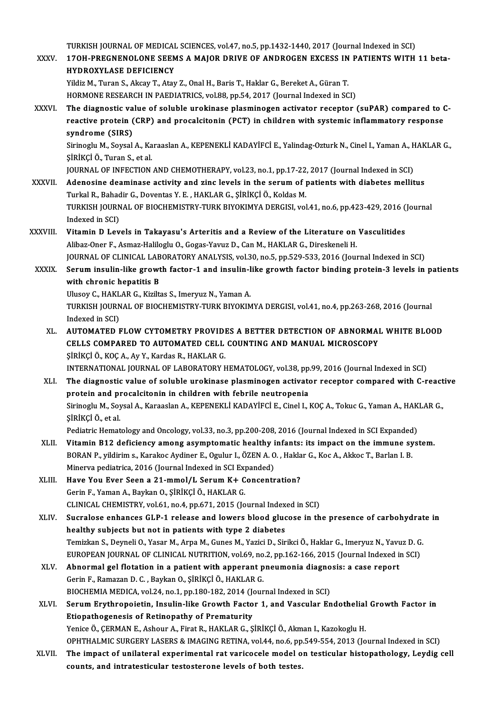TURKISH JOURNAL OF MEDICAL SCIENCES, vol.47, no.5, pp.1432-1440, 2017 (Journal Indexed in SCI)<br>1704 RRECNENOLONE SEEMS A MAJOR DRIVE OF ANDROCEN EXCESS IN RATIENTS WITH

TURKISH JOURNAL OF MEDICAL SCIENCES, vol.47, no.5, pp.1432-1440, 2017 (Journal Indexed in SCI)<br>XXXV. 17OH-PREGNENOLONE SEEMS A MAJOR DRIVE OF ANDROGEN EXCESS IN PATIENTS WITH 11 beta-TURKISH JOURNAL OF MEDICAL<br>170H-PREGNENOLONE SEEM<br>HYDROXYLASE DEFICIENCY<br><sup>Vildia</sup> M. Turon S. Alsou T. Atou 17OH-PREGNENOLONE SEEMS A MAJOR DRIVE OF ANDROGEN EXCESS IN<br>HYDROXYLASE DEFICIENCY<br>Yildiz M., Turan S., Akcay T., Atay Z., Onal H., Baris T., Haklar G., Bereket A., Güran T.<br>HOPMONE BESEARCH IN BAEDIATRICS .rol 88 np 54–20

HYDROXYLASE DEFICIENCY<br>Yildiz M., Turan S., Akcay T., Atay Z., Onal H., Baris T., Haklar G., Bereket A., Güran T.<br>HORMONE RESEARCH IN PAEDIATRICS, vol.88, pp.54, 2017 (Journal Indexed in SCI)

Yildiz M., Turan S., Akcay T., Atay Z., Onal H., Baris T., Haklar G., Bereket A., Güran T.<br>HORMONE RESEARCH IN PAEDIATRICS, vol.88, pp.54, 2017 (Journal Indexed in SCI)<br>XXXVI. The diagnostic value of soluble urokinase plas HORMONE RESEARCH IN PAEDIATRICS, vol.88, pp.54, 2017 (Journal Indexed in SCI)<br>The diagnostic value of soluble urokinase plasminogen activator receptor (suPAR) compared to (<br>reactive protein (CRP) and procalcitonin (PCT) in reactive protein (CRP) and procalcitonin (PCT) in children with systemic inflammatory response<br>syndrome (SIRS) reactive protein (CRP) and procalcitonin (PCT) in children with systemic inflammatory response<br>syndrome (SIRS)<br>Sirinoglu M., Soysal A., Karaaslan A., KEPENEKLİ KADAYİFCİ E., Yalindag-Ozturk N., Cinel I., Yaman A., HAKLAR G

<mark>syndrome (SIRS)</mark><br>Sirinoglu M., Soysal A., Ka<br>ŞİRİKÇİ Ö., Turan S., et al.<br>JOUPNAL OE INEECTION Sirinoglu M., Soysal A., Karaaslan A., KEPENEKLİ KADAYİFCİ E., Yalindag-Ozturk N., Cinel I., Yaman A., H<br>ŞİRİKÇİ Ö., Turan S., et al.<br>JOURNAL OF INFECTION AND CHEMOTHERAPY, vol.23, no.1, pp.17-22, 2017 (Journal Indexed in \$iRiKÇi Ö., Turan S., et al.<br>JOURNAL OF INFECTION AND CHEMOTHERAPY, vol.23, no.1, pp.17-22, 2017 (Journal Indexed in SCI)<br>XXXVII. Adenosine deaminase activity and zinc levels in the serum of patients with diabetes mell

- TurkalR.,BahadirG.,DoventasY.E. ,HAKLARG.,ŞİRİKÇİÖ.,KoldasM. Adenosine deaminase activity and zinc levels in the serum of patients with diabetes mellitus<br>Turkal R., Bahadir G., Doventas Y. E. , HAKLAR G., ŞİRİKÇİ Ö., Koldas M.<br>TURKISH JOURNAL OF BIOCHEMISTRY-TURK BIYOKIMYA DERGISI, Turkal R., Bahac<br>TURKISH JOURN<br>Indexed in SCI)<br>Vitamin D. Lev TURKISH JOURNAL OF BIOCHEMISTRY-TURK BIYOKIMYA DERGISI, vol.41, no.6, pp.423-429, 2016 (<br>Indexed in SCI)<br>XXXVIII. Vitamin D Levels in Takayasu's Arteritis and a Review of the Literature on Vasculitides
- Indexed in SCI)<br>Vitamin D Levels in Takayasu's Arteritis and a Review of the Literature on Vasculitides<br>Alibaz-Oner F., Asmaz-Haliloglu O., Gogas-Yavuz D., Can M., HAKLAR G., Direskeneli H. JOURNALOF CLINICAL LABORATORYANALYSIS,vol.30,no.5,pp.529-533,2016 (Journal Indexed inSCI) Alibaz-Oner F., Asmaz-Haliloglu O., Gogas-Yavuz D., Can M., HAKLAR G., Direskeneli H.<br>JOURNAL OF CLINICAL LABORATORY ANALYSIS, vol.30, no.5, pp.529-533, 2016 (Journal Indexed in SCI)<br>XXXIX. Serum insulin-like growth factor
- **JOURNAL OF CLINICAL LAB**<br>Serum insulin-like growt<br>with chronic hepatitis B<br><sup>Hingou C</sup>, HAKLAB C, Kirik Serum insulin-like growth factor-1 and insulin-l<br>with chronic hepatitis B<br>Ulusoy C., HAKLAR G., Kiziltas S., Imeryuz N., Yaman A.<br>TURKISH JOURNAL OF BIOCHEMISTRY TURK BIVOKIM

with chronic hepatitis B<br>Ulusoy C., HAKLAR G., Kiziltas S., Imeryuz N., Yaman A.<br>TURKISH JOURNAL OF BIOCHEMISTRY-TURK BIYOKIMYA DERGISI, vol.41, no.4, pp.263-268, 2016 (Journal<br>Indexed in SCI) Ulusoy C., HAKLAR G., Kiziltas S., Imeryuz N., Yaman A. TURKISH JOURNAL OF BIOCHEMISTRY-TURK BIYOKIMYA DERGISI, vol.41, no.4, pp.263-268, 2016 (Journal<br>Indexed in SCI)<br>XL. AUTOMATED FLOW CYTOMETRY PROVIDES A BETTER DETECTION OF ABNORMAL WHITE BLOOD<br>CELLS COMPARED TO AUTOMATED C

Indexed in SCI)<br>AUTOMATED FLOW CYTOMETRY PROVIDES A BETTER DETECTION OF ABNORMAI<br>CELLS COMPARED TO AUTOMATED CELL COUNTING AND MANUAL MICROSCOPY<br>SiPikci Ö, KOC A, Av Y, Kardas P, HAKLAR C CELLS COMPARED TO AUTOMATED CELL COUNTING AND MANUAL MICROSCOPY<br>ŞİRİKÇİ Ö., KOÇ A., Ay Y., Kardas R., HAKLAR G. INTERNATIONAL JOURNALOF LABORATORYHEMATOLOGY,vol.38,pp.99,2016 (Journal Indexed inSCI)

XLI. The diagnostic value of soluble urokinase plasminogen activator receptor compared with C-reactive INTERNATIONAL JOURNAL OF LABORATORY HEMATOLOGY, vol.38, pp<br>The diagnostic value of soluble urokinase plasminogen activate<br>protein and procalcitonin in children with febrile neutropenia<br>Sirinogly M. Sovel A. Karasslap A. KE Sirinoglu M., Soysal A., Karaaslan A., KEPENEKLİ KADAYİFCİ E., Cinel I., KOÇ A., Tokuc G., Yaman A., HAKLAR G.,<br>SİRİKCİ Ö., et al. <mark>protein and p</mark><br>Sirinoglu M., Soy<br>ŞİRİKÇİ Ö., et al.<br>Podiatria Hamat Sirinoglu M., Soysal A., Karaaslan A., KEPENEKLİ KADAYİFCİ E., Cinel I., KOÇ A., Tokuc G., Yaman A., HAK<br>ŞİRİKÇİ Ö., et al.<br>Pediatric Hematology and Oncology, vol.33, no.3, pp.200-208, 2016 (Journal Indexed in SCI Expanded SIRIKÇI Ö., et al.<br>Pediatric Hematology and Oncology, vol.33, no.3, pp.200-208, 2016 (Journal Indexed in SCI Expanded)<br>XLII. Vitamin B12 deficiency among asymptomatic healthy infants: its impact on the immune system.<br>ROBAN

- Pediatric Hematology and Oncology, vol.33, no.3, pp.200-208, 2016 (Journal Indexed in SCI Expanded<br>Vitamin B12 deficiency among asymptomatic healthy infants: its impact on the immune sy<br>BORAN P., yildirim s., Karakoc Aydin Vitamin B12 deficiency among asymptomatic healthy i<br>BORAN P., yildirim s., Karakoc Aydiner E., Ogulur I., ÖZEN A. O<br>Minerva pediatrica, 2016 (Journal Indexed in SCI Expanded)<br>Have You Even Seen a 31 mmal/L Serum K.L. Conse BORAN P., yildirim s., Karakoc Aydiner E., Ogulur I., ÖZEN A. O. , Hakla<br>Minerva pediatrica, 2016 (Journal Indexed in SCI Expanded)<br>XLIII. Have You Ever Seen a 21-mmol/L Serum K+ Concentration?
- Minerva pediatrica, 2016 (Journal Indexed in SCI Expanded)<br>Have You Ever Seen a 21-mmol/L Serum K+ Concentration?<br>Gerin F., Yaman A., Baykan O., ŞİRİKÇİ Ö., HAKLAR G. Have You Ever Seen a 21-mmol/L Serum K+ Concentration?<br>Gerin F., Yaman A., Baykan O., ŞİRİKÇİ Ö., HAKLAR G.<br>CLINICAL CHEMISTRY, vol.61, no.4, pp.671, 2015 (Journal Indexed in SCI)<br>Sueralase enhances CLB 1 release and lower

XLIV. Sucralose enhances GLP-1 release and lowers blood glucose in the presence of carbohydrate in CLINICAL CHEMISTRY, vol.61, no.4, pp.671, 2015 (Journal Index<br>Sucralose enhances GLP-1 release and lowers blood gluce<br>healthy subjects but not in patients with type 2 diabetes<br>Temirkan S. Devneli O. Yeser M. Arna M. Gunes Sucralose enhances GLP-1 release and lowers blood glucose in the presence of carbohydrat<br>healthy subjects but not in patients with type 2 diabetes<br>Temizkan S., Deyneli O., Yasar M., Arpa M., Gunes M., Yazici D., Sirikci Ö. healthy subjects but not in patients with type 2 diabetes<br>Temizkan S., Deyneli O., Yasar M., Arpa M., Gunes M., Yazici D., Sirikci Ö., Haklar G., Imeryuz N., Yavuz D. G<br>EUROPEAN JOURNAL OF CLINICAL NUTRITION, vol.69, no.2, Temizkan S., Deyneli O., Yasar M., Arpa M., Gunes M., Yazici D., Sirikci Ö., Haklar G., Imeryuz N., Yavu<br>EUROPEAN JOURNAL OF CLINICAL NUTRITION, vol.69, no.2, pp.162-166, 2015 (Journal Indexed in<br>XLV. Abnormal gel flotatio

- EUROPEAN JOURNAL OF CLINICAL NUTRITION, vol.69, no.2, pp.162-166, 2015 (Journal Indexed in SCI)<br>Abnormal gel flotation in a patient with apperant pneumonia diagnosis: a case report<br>Gerin F., Ramazan D. C. , Baykan O., SİRİ Abnormal gel flotation in a patient with apperant pneumonia diagno<br>Gerin F., Ramazan D. C. , Baykan O., ŞİRİKÇİ Ö., HAKLAR G.<br>BIOCHEMIA MEDICA, vol.24, no.1, pp.180-182, 2014 (Journal Indexed in SCI)<br>Serum Eutthronoiatin, BIOCHEMIA MEDICA, vol.24, no.1, pp.180-182, 2014 (Journal Indexed in SCI)
- XLVI. Serum Erythropoietin, Insulin-like Growth Factor 1, and Vascular Endothelial Growth Factor in<br>Etiopathogenesis of Retinopathy of Prematurity Yenice Ö., ÇERMAN E., Ashour A., Firat R., HAKLAR G., ŞİRİKÇİ Ö., Akman I., Kazokoglu H. Etiopathogenesis of Retinopathy of Prematurity<br>Yenice Ö., ÇERMAN E., Ashour A., Firat R., HAKLAR G., ŞİRİKÇİ Ö., Akman I., Kazokoglu H.<br>OPHTHALMIC SURGERY LASERS & IMAGING RETINA, vol.44, no.6, pp.549-554, 2013 (Journal In
- XLVII. The impact of unilateral experimental rat varicocele model on testicular histopathology, Leydig cell<br>counts. and intratesticular testosterone levels of both testes. OPHTHALMIC SURGERY LASERS & IMAGING RETINA, vol.44, no.6, pp<br>The impact of unilateral experimental rat varicocele model o<br>counts, and intratesticular testosterone levels of both testes.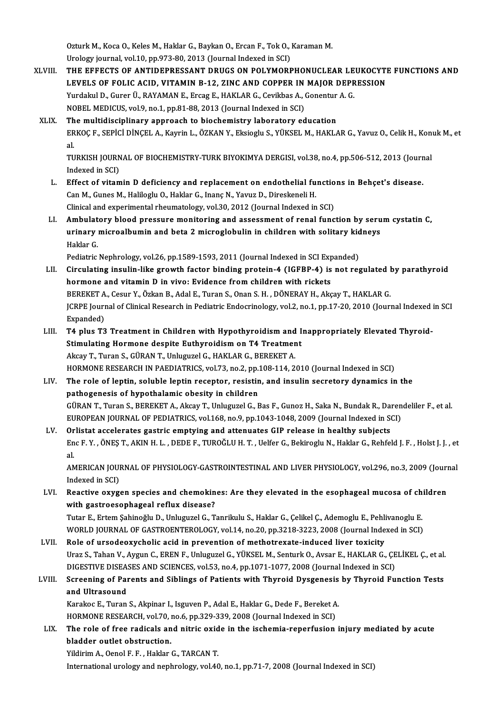Ozturk M., Koca O., Keles M., Haklar G., Baykan O., Ercan F., Tok O., Karaman M.<br>Urology iaunnal vol 10 nn 972-90-2012 (Jaunnal Indoved in SCI) Ozturk M., Koca O., Keles M., Haklar G., Baykan O., Ercan F., Tok O., .<br>Urology journal, vol.10, pp.973-80, 2013 (Journal Indexed in SCI)<br>THE EFFECTS OF ANTIDERRESSANT DRUCS ON POLYMORE

Ozturk M., Koca O., Keles M., Haklar G., Baykan O., Ercan F., Tok O., Karaman M.<br>Urology journal, vol.10, pp.973-80, 2013 (Journal Indexed in SCI)<br>XLVIII. THE EFFECTS OF ANTIDEPRESSANT DRUGS ON POLYMORPHONUCLEAR LEUKOCYTE Urology journal, vol.10, pp.973-80, 2013 (Journal Indexed in SCI)<br>THE EFFECTS OF ANTIDEPRESSANT DRUGS ON POLYMORPHONUCLEAR LEUKOCYTI<br>LEVELS OF FOLIC ACID, VITAMIN B-12, ZINC AND COPPER IN MAJOR DEPRESSION<br>Yurdalul D. Curar THE EFFECTS OF ANTIDEPRESSANT DRUGS ON POLYMORPHONUCLEAR LE<br>LEVELS OF FOLIC ACID, VITAMIN B-12, ZINC AND COPPER IN MAJOR DEPR<br>Yurdakul D., Gurer Ü., RAYAMAN E., Ercag E., HAKLAR G., Cevikbas A., Gonentur A. G.<br>NOPEL MEDICU LEVELS OF FOLIC ACID, VITAMIN B-12, ZINC AND COPPER IN MAJOR DEPRESSION<br>Yurdakul D., Gurer Ü., RAYAMAN E., Ercag E., HAKLAR G., Cevikbas A., Gonentur A. G.<br>NOBEL MEDICUS, vol.9, no.1, pp.81-88, 2013 (Journal Indexed in SCI

#### XLIX. The multidisciplinary approach to biochemistry laboratory education ERKOÇ F., SEPİCİ DİNÇEL A., Kayrin L., ÖZKAN Y., Eksioglu S., YÜKSEL M., HAKLAR G., Yavuz O., Celik H., Konuk M., et<br>al. Th<br>ER<br>al ERKOÇ F., SEPİCİ DİNÇEL A., Kayrin L., ÖZKAN Y., Eksioglu S., YÜKSEL M., HAKLAR G., Yavuz O., Celik H., Kon<sup>.</sup><br>al.<br>TURKISH JOURNAL OF BIOCHEMISTRY-TURK BIYOKIMYA DERGISI, vol.38, no.4, pp.506-512, 2013 (Journal<br>Indexed in

al<br>TURKISH JOURN<br>Indexed in SCI)<br>Effect of vitam TURKISH JOURNAL OF BIOCHEMISTRY-TURK BIYOKIMYA DERGISI, vol.38, no.4, pp.506-512, 2013 (Journ<br>Indexed in SCI)<br>L. Effect of vitamin D deficiency and replacement on endothelial functions in Behçet's disease.<br>Can M. Cunes M.

- Indexed in SCI)<br>L. Effect of vitamin D deficiency and replacement on endothelial functions in Behçet's disease.<br>Can M., Gunes M., Haliloglu O., Haklar G., Inanç N., Yavuz D., Direskeneli H. Clinical and experimental rheumatology, vol.30, 2012 (Journal Indexed in SCI) Can M., Gunes M., Haliloglu O., Haklar G., Inanç N., Yavuz D., Direskeneli H.<br>Clinical and experimental rheumatology, vol.30, 2012 (Journal Indexed in SCI)<br>LI. Ambulatory blood pressure monitoring and assessment of renal f
- Clinical and experimental rheumatology, vol.30, 2012 (Journal Indexed in SCI)<br>Ambulatory blood pressure monitoring and assessment of renal function by seru<br>urinary microalbumin and beta 2 microglobulin in children with sol Ambulat<br>urinary<br>Haklar G.<br><sup>Rediatrie</sup> urinary microalbumin and beta 2 microglobulin in children with solitary kidneys<br>Haklar G.<br>Pediatric Nephrology, vol.26, pp.1589-1593, 2011 (Journal Indexed in SCI Expanded)

- LII. Circulating insulin-like growth factor binding protein-4 (IGFBP-4) is not regulated by parathyroid hormone and vitamin D in vivo: Evidence from children with rickets Circulating insulin-like growth factor binding protein-4 (IGFBP-4) is not regulated l<br>hormone and vitamin D in vivo: Evidence from children with rickets<br>BEREKET A., Cesur Y., Özkan B., Adal E., Turan S., Onan S. H. , DÖNER JCRPE Journal of Clinical Research in Pediatric Endocrinology, vol.2, no.1, pp.17-20, 2010 (Journal Indexed in SCI<br>Expanded) BEREKET A<br>JCRPE Jouri<br>Expanded)<br>T4 plus T3 JCRPE Journal of Clinical Research in Pediatric Endocrinology, vol.2, no.1, pp.17-20, 2010 (Journal Indexed<br>Expanded)<br>LIII. T4 plus T3 Treatment in Children with Hypothyroidism and Inappropriately Elevated Thyroid-<br>Stimula
- Expanded)<br>T4 plus T3 Treatment in Children with Hypothyroidism and I<br>Stimulating Hormone despite Euthyroidism on T4 Treatment<br>Akeay T. Turan S. CÜPAN T. Unlugurel C. HAKLAB C. PEREKET A Stimulating Hormone despite Euthyroidism on T4 Treatment<br>Akcay T., Turan S., GÜRAN T., Unluguzel G., HAKLAR G., BEREKET A. HORMONE RESEARCH IN PAEDIATRICS, vol.73, no.2, pp.108-114, 2010 (Journal Indexed in SCI)

#### LIV. The role of leptin, soluble leptin receptor, resistin, and insulin secretory dynamics in the pathogenesis of hypothalamic obesity in children The role of leptin, soluble leptin receptor, resistin, and insulin secretory dynamics in the<br>pathogenesis of hypothalamic obesity in children<br>GÜRAN T., Turan S., BEREKET A., Akcay T., Unluguzel G., Bas F., Gunoz H., Saka N pathogenesis of hypothalamic obesity in children<br>GÜRAN T., Turan S., BEREKET A., Akcay T., Unluguzel G., Bas F., Gunoz H., Saka N., Bundak R., Daren<br>EUROPEAN JOURNAL OF PEDIATRICS, vol.168, no.9, pp.1043-1048, 2009 (Journa EUROPEAN JOURNAL OF PEDIATRICS, vol.168, no.9, pp.1043-1048, 2009 (Journal Indexed in SCI)<br>LV. Orlistat accelerates gastric emptying and attenuates GIP release in healthy subjects

Enc F.Y., ÖNEŞ T., AKIN H.L., DEDE F., TUROĞLU H.T., Uelfer G., Bekiroglu N., Haklar G., Rehfeld J.F., Holst J.J., et<br>al. Or<br>En<br>al. Enc F. Y., ÖNEŞ T., AKIN H. L., DEDE F., TUROĞLU H. T. , Uelfer G., Bekiroglu N., Haklar G., Rehfeld J. F. , Holst J. J. , et<br>al.<br>AMERICAN JOURNAL OF PHYSIOLOGY-GASTROINTESTINAL AND LIVER PHYSIOLOGY, vol.296, no.3, 2009 (J

al.<br>AMERICAN JOUI<br>Indexed in SCI)<br>Reastive exys AMERICAN JOURNAL OF PHYSIOLOGY-GASTROINTESTINAL AND LIVER PHYSIOLOGY, vol.296, no.3, 2009 (Journ<br>Indexed in SCI)<br>LVI. Reactive oxygen species and chemokines: Are they elevated in the esophageal mucosa of children<br>with gast

Indexed in SCI)<br>Reactive oxygen species and chemokin<br>with gastroesophageal reflux disease?<br>Tutar E. Ertem Sebinoğlu D. Unluguzel G. T Reactive oxygen species and chemokines: Are they elevated in the esophageal mucosa of ch<br>with gastroesophageal reflux disease?<br>Tutar E., Ertem Şahinoğlu D., Unluguzel G., Tanrikulu S., Haklar G., Çelikel Ç., Ademoglu E., P

with gastroesophageal reflux disease?<br>Tutar E., Ertem Şahinoğlu D., Unluguzel G., Tanrikulu S., Haklar G., Çelikel Ç., Ademoglu E., Pehlivanoglu E.<br>WORLD JOURNAL OF GASTROENTEROLOGY, vol.14, no.20, pp.3218-3223, 2008 (Jour Tutar E., Ertem Şahinoğlu D., Unluguzel G., Tanrikulu S., Haklar G., Çelikel Ç., Ademoglu E., Pehli<br>WORLD JOURNAL OF GASTROENTEROLOGY, vol.14, no.20, pp.3218-3223, 2008 (Journal Inde<br>LVII. Role of ursodeoxycholic acid in p

WORLD JOURNAL OF GASTROENTEROLOGY, vol.14, no.20, pp.3218-3223, 2008 (Journal Indexed in SCI)<br>Role of ursodeoxycholic acid in prevention of methotrexate-induced liver toxicity<br>Uraz S., Tahan V., Aygun C., EREN F., Unluguze Role of ursodeoxycholic acid in prevention of methotrexate-induced liver toxicity<br>Uraz S., Tahan V., Aygun C., EREN F., Unluguzel G., YÜKSEL M., Senturk O., Avsar E., HAKLAR G., ÇE<br>DIGESTIVE DISEASES AND SCIENCES, vol.53, Uraz S., Tahan V., Aygun C., EREN F., Unluguzel G., YÜKSEL M., Senturk O., Avsar E., HAKLAR G., ÇELİKEL Ç., et al.<br>DIGESTIVE DISEASES AND SCIENCES, vol.53, no.4, pp.1071-1077, 2008 (Journal Indexed in SCI)<br>LVIII. Screening

# DIGESTIVE DISEASES AND SCIENCES, vol.53, no.4, pp.1071-1077, 2008 (Journal Indexed in SCI)<br>Screening of Parents and Siblings of Patients with Thyroid Dysgenesis by Thyroid Fu<br>and Ultrasound Screening of Parents and Siblings of Patients with Thyroid Dysgenesis by Thyroid Function Tests<br>and Ultrasound<br>Karakoc E., Turan S., Akpinar I., Isguven P., Adal E., Haklar G., Dede F., Bereket A.<br>HORMONE RESEARCH, vol.70,

Karakoc E., Turan S., Akpinar I., Isguven P., Adal E., Haklar G., Dede F., Bereket A.

Karakoc E., Turan S., Akpinar I., Isguven P., Adal E., Haklar G., Dede F., Bereket A.<br>HORMONE RESEARCH, vol.70, no.6, pp.329-339, 2008 (Journal Indexed in SCI)<br>LIX. The role of free radicals and nitric oxide in the ischemi HORMONE RESEARCH, vol.70, i<br>The role of free radicals an<br>bladder outlet obstruction.<br>Vidinim A. Oanel E. E. Helder. The role of free radicals and nitric oxid<br>bladder outlet obstruction.<br>Yildirim A., Oenol F. F. , Haklar G., TARCAN T.<br>International unalogy and nonhualogy yol 40

bladder outlet obstruction.<br>Internationalurology and nephrology, vol.40, no.1, pp.71-7, 2008 (Journal Indexed in SCI)<br>International urology and nephrology, vol.40, no.1, pp.71-7, 2008 (Journal Indexed in SCI)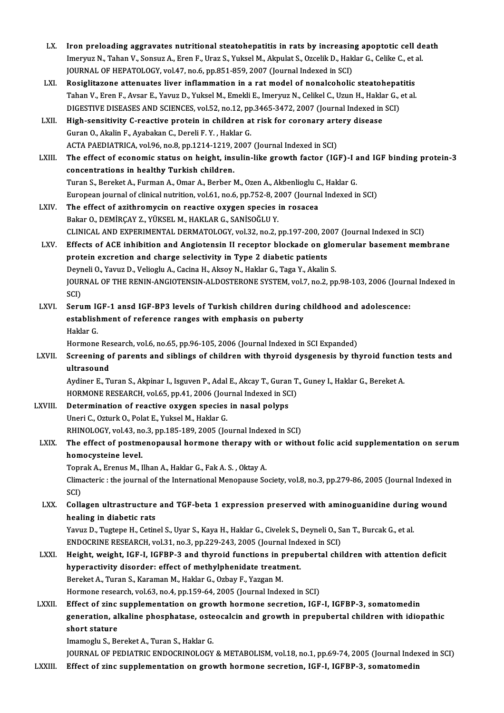| LX.           | Iron preloading aggravates nutritional steatohepatitis in rats by increasing apoptotic cell death<br>Imeryuz N., Tahan V., Sonsuz A., Eren F., Uraz S., Yuksel M., Akpulat S., Ozcelik D., Haklar G., Celike C., et al.<br>JOURNAL OF HEPATOLOGY, vol.47, no.6, pp.851-859, 2007 (Journal Indexed in SCI)                                                                        |
|---------------|----------------------------------------------------------------------------------------------------------------------------------------------------------------------------------------------------------------------------------------------------------------------------------------------------------------------------------------------------------------------------------|
| LXI.          | Rosiglitazone attenuates liver inflammation in a rat model of nonalcoholic steatohepatitis<br>Tahan V., Eren F., Avsar E., Yavuz D., Yuksel M., Emekli E., Imeryuz N., Celikel C., Uzun H., Haklar G., et al.<br>DIGESTIVE DISEASES AND SCIENCES, vol.52, no.12, pp.3465-3472, 2007 (Journal Indexed in SCI)                                                                     |
| LXII.         | High-sensitivity C-reactive protein in children at risk for coronary artery disease<br>Guran O., Akalin F., Ayabakan C., Dereli F. Y., Haklar G.<br>ACTA PAEDIATRICA, vol.96, no.8, pp.1214-1219, 2007 (Journal Indexed in SCI)                                                                                                                                                  |
| LXIII.        | The effect of economic status on height, insulin-like growth factor (IGF)-I and IGF binding protein-3<br>concentrations in healthy Turkish children.<br>Turan S., Bereket A., Furman A., Omar A., Berber M., Ozen A., Akbenlioglu C., Haklar G.<br>European journal of clinical nutrition, vol.61, no.6, pp.752-8, 2007 (Journal Indexed in SCI)                                 |
| LXIV.         | The effect of azithromycin on reactive oxygen species in rosacea<br>Bakar O., DEMİRÇAY Z., YÜKSEL M., HAKLAR G., SANİSOĞLU Y.<br>CLINICAL AND EXPERIMENTAL DERMATOLOGY, vol.32, no.2, pp.197-200, 2007 (Journal Indexed in SCI)                                                                                                                                                  |
| LXV.          | Effects of ACE inhibition and Angiotensin II receptor blockade on glomerular basement membrane<br>protein excretion and charge selectivity in Type 2 diabetic patients<br>Deyneli O., Yavuz D., Velioglu A., Cacina H., Aksoy N., Haklar G., Taga Y., Akalin S.<br>JOURNAL OF THE RENIN-ANGIOTENSIN-ALDOSTERONE SYSTEM, vol.7, no.2, pp.98-103, 2006 (Journal Indexed in<br>SCI) |
| LXVI.         | Serum IGF-1 ansd IGF-BP3 levels of Turkish children during childhood and adolescence:<br>establishment of reference ranges with emphasis on puberty<br>Haklar G.<br>Hormone Research, vol.6, no.65, pp.96-105, 2006 (Journal Indexed in SCI Expanded)                                                                                                                            |
| LXVII.        | Screening of parents and siblings of children with thyroid dysgenesis by thyroid function tests and<br>ultrasound<br>Aydiner E., Turan S., Akpinar I., Isguven P., Adal E., Akcay T., Guran T., Guney I., Haklar G., Bereket A.                                                                                                                                                  |
| LXVIII.       | HORMONE RESEARCH, vol.65, pp.41, 2006 (Journal Indexed in SCI)<br>Determination of reactive oxygen species in nasal polyps<br>Uneri C., Ozturk O., Polat E., Yuksel M., Haklar G.<br>RHINOLOGY, vol.43, no.3, pp.185-189, 2005 (Journal Indexed in SCI)                                                                                                                          |
| <b>LXIX</b>   | The effect of postmenopausal hormone therapy with or without folic acid supplementation on serum<br>homocysteine level.<br>Toprak A., Erenus M., Ilhan A., Haklar G., Fak A. S., Oktay A.<br>Climacteric : the journal of the International Menopause Society, vol.8, no.3, pp.279-86, 2005 (Journal Indexed in<br>SCI)                                                          |
| LXX.          | Collagen ultrastructure and TGF-beta 1 expression preserved with aminoguanidine during wound<br>healing in diabetic rats<br>Yavuz D., Tugtepe H., Cetinel S., Uyar S., Kaya H., Haklar G., Civelek S., Deyneli O., San T., Burcak G., et al<br>ENDOCRINE RESEARCH, vol.31, no.3, pp.229-243, 2005 (Journal Indexed in SCI)                                                       |
| LXXI.         | Height, weight, IGF-I, IGFBP-3 and thyroid functions in prepubertal children with attention deficit<br>hyperactivity disorder: effect of methylphenidate treatment.<br>Bereket A., Turan S., Karaman M., Haklar G., Ozbay F., Yazgan M.<br>Hormone research, vol.63, no.4, pp.159-64, 2005 (Journal Indexed in SCI)                                                              |
| LXXII.        | Effect of zinc supplementation on growth hormone secretion, IGF-I, IGFBP-3, somatomedin<br>generation, alkaline phosphatase, osteocalcin and growth in prepubertal children with idiopathic<br>short stature<br>Imamoglu S., Bereket A., Turan S., Haklar G.                                                                                                                     |
| <b>LXXIII</b> | JOURNAL OF PEDIATRIC ENDOCRINOLOGY & METABOLISM, vol.18, no.1, pp.69-74, 2005 (Journal Indexed in SCI)<br>Effect of zinc supplementation on growth hormone secretion, IGF-I, IGFBP-3, somatomedin                                                                                                                                                                                |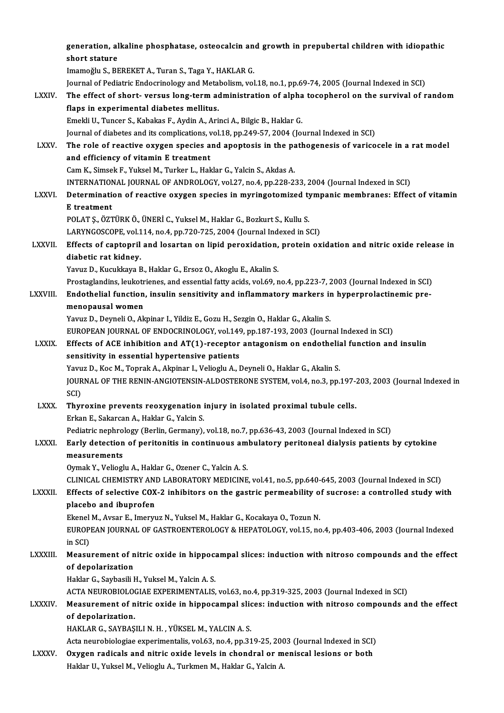|                | generation, alkaline phosphatase, osteocalcin and growth in prepubertal children with idiopathic<br>short stature              |
|----------------|--------------------------------------------------------------------------------------------------------------------------------|
|                | Imamoğlu S., BEREKET A., Turan S., Taga Y., HAKLAR G.                                                                          |
|                | Journal of Pediatric Endocrinology and Metabolism, vol.18, no.1, pp.69-74, 2005 (Journal Indexed in SCI)                       |
| <b>LXXIV</b>   | The effect of short-versus long-term administration of alpha tocopherol on the survival of random                              |
|                | flaps in experimental diabetes mellitus.                                                                                       |
|                | Emekli U., Tuncer S., Kabakas F., Aydin A., Arinci A., Bilgic B., Haklar G.                                                    |
|                | Journal of diabetes and its complications, vol.18, pp.249-57, 2004 (Journal Indexed in SCI)                                    |
| <b>LXXV</b>    | The role of reactive oxygen species and apoptosis in the pathogenesis of varicocele in a rat model                             |
|                | and efficiency of vitamin E treatment                                                                                          |
|                | Cam K., Simsek F., Yuksel M., Turker L., Haklar G., Yalcin S., Akdas A.                                                        |
|                | INTERNATIONAL JOURNAL OF ANDROLOGY, vol.27, no.4, pp.228-233, 2004 (Journal Indexed in SCI)                                    |
| <b>LXXVI</b>   | Determination of reactive oxygen species in myringotomized tympanic membranes: Effect of vitamin<br>E treatment                |
|                | POLAT Ş., ÖZTÜRK Ö., ÜNERİ C., Yuksel M., Haklar G., Bozkurt S., Kullu S.                                                      |
|                | LARYNGOSCOPE, vol.114, no.4, pp.720-725, 2004 (Journal Indexed in SCI)                                                         |
| LXXVII.        | Effects of captopril and losartan on lipid peroxidation, protein oxidation and nitric oxide release in<br>diabetic rat kidney. |
|                | Yavuz D., Kucukkaya B., Haklar G., Ersoz O., Akoglu E., Akalin S.                                                              |
|                | Prostaglandins, leukotrienes, and essential fatty acids, vol.69, no.4, pp.223-7, 2003 (Journal Indexed in SCI)                 |
| LXXVIII.       | Endothelial function, insulin sensitivity and inflammatory markers in hyperprolactinemic pre-                                  |
|                | menopausal women                                                                                                               |
|                | Yavuz D., Deyneli O., Akpinar I., Yildiz E., Gozu H., Sezgin O., Haklar G., Akalin S.                                          |
|                | EUROPEAN JOURNAL OF ENDOCRINOLOGY, vol.149, pp.187-193, 2003 (Journal Indexed in SCI)                                          |
| <b>LXXIX</b>   | Effects of ACE inhibition and AT(1)-receptor antagonism on endothelial function and insulin                                    |
|                | sensitivity in essential hypertensive patients                                                                                 |
|                | Yavuz D., Koc M., Toprak A., Akpinar I., Velioglu A., Deyneli O., Haklar G., Akalin S.                                         |
|                | JOURNAL OF THE RENIN-ANGIOTENSIN-ALDOSTERONE SYSTEM, vol.4, no.3, pp.197-203, 2003 (Journal Indexed in<br>SCI)                 |
| <b>LXXX</b>    | Thyroxine prevents reoxygenation injury in isolated proximal tubule cells.<br>Erkan E., Sakarcan A., Haklar G., Yalcin S.      |
|                | Pediatric nephrology (Berlin, Germany), vol.18, no.7, pp.636-43, 2003 (Journal Indexed in SCI)                                 |
| <b>LXXXI</b>   | Early detection of peritonitis in continuous ambulatory peritoneal dialysis patients by cytokine                               |
|                | measurements                                                                                                                   |
|                | Oymak Y., Velioglu A., Haklar G., Ozener C., Yalcin A. S.                                                                      |
|                | CLINICAL CHEMISTRY AND LABORATORY MEDICINE, vol.41, no.5, pp.640-645, 2003 (Journal Indexed in SCI)                            |
| LXXXII.        | Effects of selective COX-2 inhibitors on the gastric permeability of sucrose: a controlled study with                          |
|                | placebo and ibuprofen                                                                                                          |
|                | Ekenel M., Avsar E., Imeryuz N., Yuksel M., Haklar G., Kocakaya O., Tozun N.                                                   |
|                | EUROPEAN JOURNAL OF GASTROENTEROLOGY & HEPATOLOGY, vol.15, no.4, pp.403-406, 2003 (Journal Indexed                             |
|                | in SCI)                                                                                                                        |
| LXXXIII.       | Measurement of nitric oxide in hippocampal slices: induction with nitroso compounds and the effect                             |
|                | of depolarization                                                                                                              |
|                | Haklar G., Saybasili H., Yuksel M., Yalcin A. S.                                                                               |
|                | ACTA NEUROBIOLOGIAE EXPERIMENTALIS, vol.63, no.4, pp.319-325, 2003 (Journal Indexed in SCI)                                    |
| <b>LXXXIV.</b> | Measurement of nitric oxide in hippocampal slices: induction with nitroso compounds and the effect<br>of depolarization.       |
|                | HAKLAR G., SAYBAŞILI N. H., YÜKSEL M., YALCIN A. S.                                                                            |
|                | Acta neurobiologiae experimentalis, vol.63, no.4, pp.319-25, 2003 (Journal Indexed in SCI)                                     |
| <b>LXXXV</b>   | Oxygen radicals and nitric oxide levels in chondral or meniscal lesions or both                                                |
|                | Haklar U., Yuksel M., Velioglu A., Turkmen M., Haklar G., Yalcin A.                                                            |
|                |                                                                                                                                |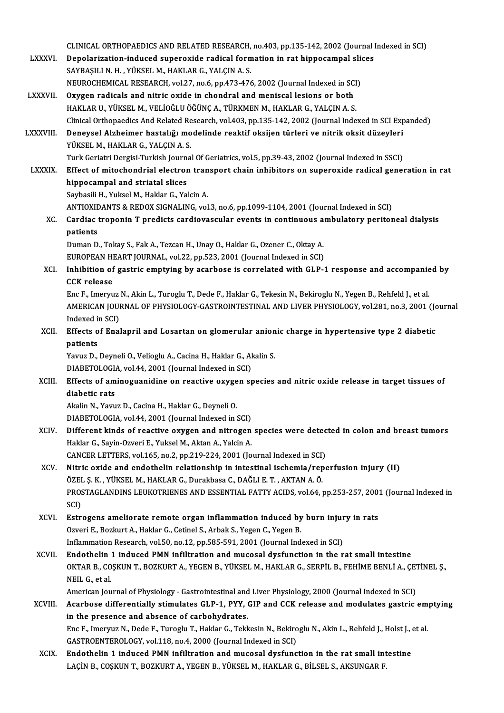|                 | CLINICAL ORTHOPAEDICS AND RELATED RESEARCH, no.403, pp.135-142, 2002 (Journal Indexed in SCI)                                          |
|-----------------|----------------------------------------------------------------------------------------------------------------------------------------|
| <b>LXXXVI</b>   | Depolarization-induced superoxide radical formation in rat hippocampal slices<br>SAYBAŞILI N. H., YÜKSEL M., HAKLAR G., YALÇIN A. S.   |
|                 | NEUROCHEMICAL RESEARCH, vol.27, no.6, pp.473-476, 2002 (Journal Indexed in SCI)                                                        |
| <b>LXXXVII.</b> | Oxygen radicals and nitric oxide in chondral and meniscal lesions or both                                                              |
|                 | HAKLAR U., YÜKSEL M., VELİOĞLU ÖĞÜNÇ A., TÜRKMEN M., HAKLAR G., YALÇIN A. S.                                                           |
|                 | Clinical Orthopaedics And Related Research, vol.403, pp.135-142, 2002 (Journal Indexed in SCI Expanded)                                |
| LXXXVIII.       | Deneysel Alzheimer hastalığı modelinde reaktif oksijen türleri ve nitrik oksit düzeyleri<br>YÜKSEL M., HAKLAR G., YALÇIN A. S.         |
|                 | Turk Geriatri Dergisi-Turkish Journal Of Geriatrics, vol.5, pp.39-43, 2002 (Journal Indexed in SSCI)                                   |
| <b>LXXXIX</b>   | Effect of mitochondrial electron transport chain inhibitors on superoxide radical generation in rat<br>hippocampal and striatal slices |
|                 | Saybasili H., Yuksel M., Haklar G., Yalcin A.                                                                                          |
|                 | ANTIOXIDANTS & REDOX SIGNALING, vol.3, no.6, pp.1099-1104, 2001 (Journal Indexed in SCI)                                               |
| XC.             | Cardiac troponin T predicts cardiovascular events in continuous ambulatory peritoneal dialysis                                         |
|                 | patients                                                                                                                               |
|                 | Duman D., Tokay S., Fak A., Tezcan H., Unay O., Haklar G., Ozener C., Oktay A.                                                         |
|                 | EUROPEAN HEART JOURNAL, vol.22, pp.523, 2001 (Journal Indexed in SCI)                                                                  |
| XCI.            | Inhibition of gastric emptying by acarbose is correlated with GLP-1 response and accompanied by<br><b>CCK</b> release                  |
|                 | Enc F., Imeryuz N., Akin L., Turoglu T., Dede F., Haklar G., Tekesin N., Bekiroglu N., Yegen B., Rehfeld J., et al.                    |
|                 | AMERICAN JOURNAL OF PHYSIOLOGY-GASTROINTESTINAL AND LIVER PHYSIOLOGY, vol.281, no.3, 2001 (Journal                                     |
|                 | Indexed in SCI)                                                                                                                        |
| XCII.           | Effects of Enalapril and Losartan on glomerular anionic charge in hypertensive type 2 diabetic                                         |
|                 | patients                                                                                                                               |
|                 | Yavuz D., Deyneli O., Velioglu A., Cacina H., Haklar G., Akalin S.<br>DIABETOLOGIA, vol.44, 2001 (Journal Indexed in SCI)              |
| XCIII.          | Effects of aminoguanidine on reactive oxygen species and nitric oxide release in target tissues of                                     |
|                 | diabetic rats                                                                                                                          |
|                 | Akalin N., Yavuz D., Cacina H., Haklar G., Deyneli O.                                                                                  |
|                 | DIABETOLOGIA, vol.44, 2001 (Journal Indexed in SCI)                                                                                    |
| XCIV.           | Different kinds of reactive oxygen and nitrogen species were detected in colon and breast tumors                                       |
|                 | Haklar G., Sayin-Ozveri E., Yuksel M., Aktan A., Yalcin A.                                                                             |
|                 | CANCER LETTERS, vol.165, no.2, pp.219-224, 2001 (Journal Indexed in SCI)                                                               |
| XCV.            | Nitric oxide and endothelin relationship in intestinal ischemia/reperfusion injury (II)                                                |
|                 | ÖZEL Ş. K. , YÜKSEL M., HAKLAR G., Durakbasa C., DAĞLI E. T. , AKTAN A. Ö.                                                             |
|                 | PROSTAGLANDINS LEUKOTRIENES AND ESSENTIAL FATTY ACIDS, vol.64, pp.253-257, 2001 (Journal Indexed in                                    |
|                 | SCI)                                                                                                                                   |
| XCVI.           | Estrogens ameliorate remote organ inflammation induced by burn injury in rats                                                          |
|                 | Ozveri E., Bozkurt A., Haklar G., Cetinel S., Arbak S., Yegen C., Yegen B.                                                             |
|                 | Inflammation Research, vol.50, no.12, pp.585-591, 2001 (Journal Indexed in SCI)                                                        |
| XCVII.          | Endothelin 1 induced PMN infiltration and mucosal dysfunction in the rat small intestine                                               |
|                 | OKTAR B., COŞKUN T., BOZKURT A., YEGEN B., YÜKSEL M., HAKLAR G., SERPİL B., FEHİME BENLİ A., ÇETİNEL Ş.,<br>NEIL G, et al.             |
|                 | American Journal of Physiology - Gastrointestinal and Liver Physiology, 2000 (Journal Indexed in SCI)                                  |
| XCVIII.         | Acarbose differentially stimulates GLP-1, PYY, GIP and CCK release and modulates gastric emptying                                      |
|                 | in the presence and absence of carbohydrates.                                                                                          |
|                 | Enc F., Imeryuz N., Dede F., Turoglu T., Haklar G., Tekkesin N., Bekiroglu N., Akin L., Rehfeld J., Holst J., et al.                   |
|                 | GASTROENTEROLOGY, vol.118, no.4, 2000 (Journal Indexed in SCI)                                                                         |
| <b>XCIX</b>     | Endothelin 1 induced PMN infiltration and mucosal dysfunction in the rat small intestine                                               |
|                 | LAÇİN B., COŞKUN T., BOZKURT A., YEGEN B., YÜKSEL M., HAKLAR G., BİLSEL S., AKSUNGAR F.                                                |
|                 |                                                                                                                                        |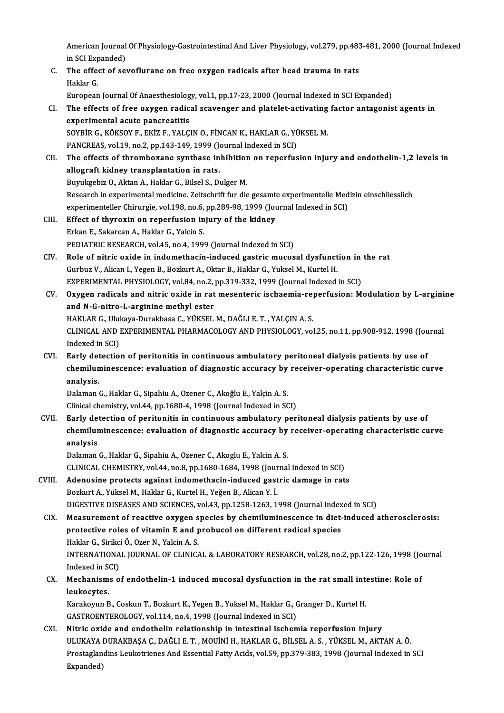American Journal Of Physiology-Gastrointestinal And Liver Physiology, vol.279, pp.483-481, 2000 (Journal Indexed<br>in SCL Expanded) American Journal<br>in SCI Expanded)<br>The effect of sex American Journal Of Physiology-Gastrointestinal And Liver Physiology, vol.279, pp.483<br>in SCI Expanded)<br>C. The effect of sevoflurane on free oxygen radicals after head trauma in rats<br>Haldar C

in SCI Exp<br>The effe<br>Haklar G.<br>European The effect of sevoflurane on free oxygen radicals after head trauma in rats<br>Haklar G.<br>European Journal Of Anaesthesiology, vol.1, pp.17-23, 2000 (Journal Indexed in SCI Expanded)<br>The effects of free oxygen radical sequenge

Haklar G.<br>European Journal Of Anaesthesiology, vol.1, pp.17-23, 2000 (Journal Indexed in SCI Expanded)<br>CI. The effects of free oxygen radical scavenger and platelet-activating factor antagonist agents in<br>experimental agute European Journal Of Anaesthesiolog<br>The effects of free oxygen radic<br>experimental acute pancreatitis<br>sovpip C *v*övsov F FV17 F VALC The effects of free oxygen radical scavenger and platelet-activating<br>experimental acute pancreatitis<br>SOYBİR G., KÖKSOY F., EKİZ F., YALÇIN O., FİNCAN K., HAKLAR G., YÜKSEL M.<br>PANCREAS vol 19 no 2 nn 142 149 1999 (Journal I experimental acute pancreatitis<br>SOYBİR G., KÖKSOY F., EKİZ F., YALÇIN O., FİNCAN K., HAKLAR G., YÜKSEL M.<br>PANCREAS, vol.19, no.2, pp.143-149, 1999 (Journal Indexed in SCI) SOYBIR G., KÖKSOY F., EKIZ F., YALÇIN O., FINCAN K., HAKLAR G., YÜKSEL M.<br>PANCREAS, vol.19, no.2, pp.143-149, 1999 (Journal Indexed in SCI)<br>CII. The effects of thromboxane synthase inhibition on reperfusion injury and endo

- PANCREAS, vol.19, no.2, pp.143-149, 1999 (Jonet Chevalence in allograft kidney transplantation in rats.<br>Burnkgebig Q. Altan A. Haldar G. Bilsel S. Durnkgebig Q. Altan A. Haldar G. Bilsel S. Du The effects of thromboxane synthase inhibition<br>allograft kidney transplantation in rats.<br>Buyukgebiz O., Aktan A., Haklar G., Bilsel S., Dulger M.<br>Besearsh in experimental modisine Zeitschrift für die allograft kidney transplantation in rats.<br>Buyukgebiz O., Aktan A., Haklar G., Bilsel S., Dulger M.<br>Research in experimental medicine. Zeitschrift fur die gesamte experimentelle Medizin einschliesslich Buyukgebiz O., Aktan A., Haklar G., Bilsel S., Dulger M.<br>Research in experimental medicine. Zeitschrift fur die gesamte experimentelle Med<br>experimenteller Chirurgie, vol.198, no.6, pp.289-98, 1999 (Journal Indexed in SCI)<br> Research in experimental medicine. Zeitschrift fur die gesamt<br>experimenteller Chirurgie, vol.198, no.6, pp.289-98, 1999 (Journal CIII. Effect of thyroxin on reperfusion injury of the kidney
- experimenteller Chirurgie, vol.198, no.6,<br>Effect of thyroxin on reperfusion in<br>Erkan E., Sakarcan A., Haklar G., Yalcin S.<br>PEDIATRIC RESEARCH .vol.45, no.4, 1990 Effect of thyroxin on reperfusion injury of the kidney<br>Erkan E., Sakarcan A., Haklar G., Yalcin S.<br>PEDIATRIC RESEARCH, vol.45, no.4, 1999 (Journal Indexed in SCI)
- CIV. Role of nitric oxide in indomethacin-induced gastric mucosal dysfunction in the rat Gurbuz V., Alican I., Yegen B., Bozkurt A., Oktar B., Haklar G., Yuksel M., Kurtel H. Role of nitric oxide in indomethacin-induced gastric mucosal dysfunction in<br>Gurbuz V., Alican I., Yegen B., Bozkurt A., Oktar B., Haklar G., Yuksel M., Kurtel H.<br>EXPERIMENTAL PHYSIOLOGY, vol.84, no.2, pp.319-332, 1999 (Jou
- CV. Oxygen radicals and nitric oxide in rat mesenteric ischaemia-reperfusion: Modulation by L-arginine<br>and N-G-nitro-L-arginine methyl ester EXPERIMENTAL PHYSIOLOGY, vol.84, no.2,<br>Oxygen radicals and nitric oxide in rat<br>and N-G-nitro-L-arginine methyl ester<br>HAKLAP G Hukaya Durakbase G YÜKSEL Oxygen radicals and nitric oxide in rat mesenteric ischaemia-re<sub>l</sub><br>and N-G-nitro-L-arginine methyl ester<br>HAKLAR G., Ulukaya-Durakbasa C., YÜKSEL M., DAĞLI E. T. , YALÇIN A. S.<br>CLINICAL AND EXPERIMENTAL PHARMACOLOCY AND PHY and N-G-nitro-L-arginine methyl ester<br>HAKLAR G., Ulukaya-Durakbasa C., YÜKSEL M., DAĞLI E. T. , YALÇIN A. S.<br>CLINICAL AND EXPERIMENTAL PHARMACOLOGY AND PHYSIOLOGY, vol.25, no.11, pp.908-912, 1998 (Journal<br>Indoved in SCD. HAKLAR G., Ulul<br>CLINICAL AND |<br>Indexed in SCI)<br>Early datactio CLINICAL AND EXPERIMENTAL PHARMACOLOGY AND PHYSIOLOGY, vol.25, no.11, pp.908-912, 1998 (Jou<br>Indexed in SCI)<br>CVI. Early detection of peritonitis in continuous ambulatory peritoneal dialysis patients by use of<br>chamily increa
- Indexed in SCI)<br>Early detection of peritonitis in continuous ambulatory peritoneal dialysis patients by use of<br>chemiluminescence: evaluation of diagnostic accuracy by receiver-operating characteristic curve<br>analysis Early det<br>chemilun<br>analysis.<br><sup>Dalaman</sup> chemiluminescence: evaluation of diagnostic accuracy by<br>analysis.<br>Dalaman G., Haklar G., Sipahiu A., Ozener C., Akoĝlu E., Yalçin A. S.<br>Clinical chamistry, val 44, nn 1690-4-1998 (Jaurnal Indoved in SC

analysis.<br>Dalaman G., Haklar G., Sipahiu A., Ozener C., Akoĝlu E., Yalçin A. S.<br>Clinical chemistry, vol.44, pp.1680-4, 1998 (Journal Indexed in SCI)

CVII. Early detection of peritonitis in continuous ambulatory peritoneal dialysis patients by use of Clinical chemistry, vol.44, pp.1680-4, 1998 (Journal Indexed in SCI)<br>Early detection of peritonitis in continuous ambulatory peritoneal dialysis patients by use of<br>chemiluminescence: evaluation of diagnostic accuracy by re Early de<br>chemilur<br>analysis<br><sup>Dalaman</sup> chemiluminescence: evaluation of diagnostic accuracy by<br>analysis<br>Dalaman G., Haklar G., Sipahiu A., Ozener C., Akoglu E., Yalcin A. S.<br>CLINICAL CHEMISTRY vol.44, no.9, nn.1690, 1694, 1998 (Journal analysis<br>Dalaman G., Haklar G., Sipahiu A., Ozener C., Akoglu E., Yalcin A. S.<br>CLINICAL CHEMISTRY, vol.44, no.8, pp.1680-1684, 1998 (Journal Indexed in SCI)<br>Adapesine protests assinst indemathesin indused sestris demase in

- Dalaman G., Haklar G., Sipahiu A., Ozener C., Akoglu E., Yalcin A. S.<br>CLINICAL CHEMISTRY, vol.44, no.8, pp.1680-1684, 1998 (Journal Indexed in SCI)<br>CVIII. Adenosine protects against indomethacin-induced gastric damage in r CLINICAL CHEMISTRY, vol.44, no.8, pp.1680-1684, 1998 (Journal Adenosine protects against indomethacin-induced gast<br>Bozkurt A., Yüksel M., Haklar G., Kurtel H., Yeğen B., Alican Y. İ.<br>DICESTIVE DISEASES AND SCIENCES vol.42, Adenosine protects against indomethacin-induced gastric damage in rats<br>Bozkurt A., Yüksel M., Haklar G., Kurtel H., Yeğen B., Alican Y. İ.<br>DIGESTIVE DISEASES AND SCIENCES, vol.43, pp.1258-1263, 1998 (Journal Indexed in SCI
- Bozkurt A., Yüksel M., Haklar G., Kurtel H., Yeğen B., Alican Y. İ.<br>DIGESTIVE DISEASES AND SCIENCES, vol.43, pp.1258-1263, 1998 (Journal Indexed in SCI)<br>CIX. Measurement of reactive oxygen species by chemiluminescence in d DIGESTIVE DISEASES AND SCIENCES, vol.43, pp.1258-1263, 1998 (Journal Index<br>Measurement of reactive oxygen species by chemiluminescence in diet-<br>protective roles of vitamin E and probucol on different radical species<br>Haklar Measurement of reactive oxygen s<br>protective roles of vitamin E and p<br>Haklar G., Sirikci Ö., Ozer N., Yalcin A. S.<br>INTERNATIONAL JOURNAL OF CLINIC protective roles of vitamin E and probucol on different radical species<br>Haklar G., Sirikci Ö., Ozer N., Yalcin A. S.<br>INTERNATIONAL JOURNAL OF CLINICAL & LABORATORY RESEARCH, vol.28, no.2, pp.122-126, 1998 (Journal<br>Indeved Haklar G., Sirikc<br>INTERNATIONA<br>Indexed in SCI)<br>Mochanisms o INTERNATIONAL JOURNAL OF CLINICAL & LABORATORY RESEARCH, vol.28, no.2, pp.122-126, 1998 (Jo<br>Indexed in SCI)<br>CX. Mechanisms of endothelin-1 induced mucosal dysfunction in the rat small intestine: Role of<br>Journalisms
- Indexed in SCI)<br>CX. Mechanisms of endothelin-1 induced mucosal dysfunction in the rat small intestine: Role of<br>leukocytes.

Karakoyun B., Coskun T., Bozkurt K., Yegen B., Yuksel M., Haklar G., Granger D., Kurtel H. GASTROENTEROLOGY, vol.114, no.4, 1998 (Journal Indexed in SCI)

CXI. Nitric oxide and endothelin relationship in intestinal ischemia reperfusion injury GASTROENTEROLOGY, vol.114, no.4, 1998 (Journal Indexed in SCI)<br>Nitric oxide and endothelin relationship in intestinal ischemia reperfusion injury<br>ULUKAYA DURAKBAŞA Ç., DAĞLI E. T. , MOUİNİ H., HAKLAR G., BİLSEL A. S. , YÜK Prostaglandins Leukotrienes And Essential Fatty Acids, vol.59, pp.379-383, 1998 (Journal Indexed in SCI<br>Expanded) ULUKAYA I<br>Prostaglan<br>Expanded)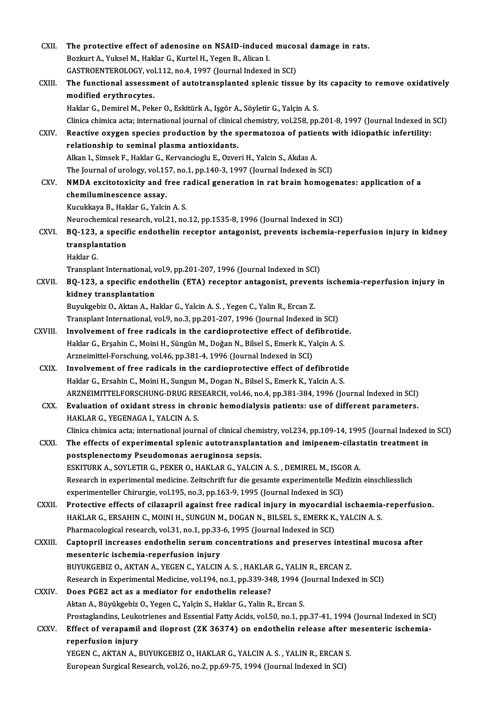| CXII.         | The protective effect of adenosine on NSAID-induced mucosal damage in rats.                                                                                                                 |
|---------------|---------------------------------------------------------------------------------------------------------------------------------------------------------------------------------------------|
|               | Bozkurt A., Yuksel M., Haklar G., Kurtel H., Yegen B., Alican I.                                                                                                                            |
|               | GASTROENTEROLOGY, vol.112, no.4, 1997 (Journal Indexed in SCI)                                                                                                                              |
| CXIII.        | The functional assessment of autotransplanted splenic tissue by its capacity to remove oxidatively                                                                                          |
|               | modified erythrocytes.                                                                                                                                                                      |
|               | Haklar G., Demirel M., Peker O., Eskitürk A., Işgör A., Söyletir G., Yalçin A. S.                                                                                                           |
|               | Clinica chimica acta; international journal of clinical chemistry, vol.258, pp.201-8, 1997 (Journal Indexed in SCI)                                                                         |
| CXIV.         | Reactive oxygen species production by the spermatozoa of patients with idiopathic infertility:                                                                                              |
|               | relationship to seminal plasma antioxidants.                                                                                                                                                |
|               | Alkan I., Simsek F., Haklar G., Kervancioglu E., Ozveri H., Yalcin S., Akdas A.                                                                                                             |
|               | The Journal of urology, vol.157, no.1, pp.140-3, 1997 (Journal Indexed in SCI)                                                                                                              |
| CXV.          | NMDA excitotoxicity and free radical generation in rat brain homogenates: application of a                                                                                                  |
|               | chemiluminescence assay.                                                                                                                                                                    |
|               | Kucukkaya B., Haklar G., Yalcin A. S.                                                                                                                                                       |
|               | Neurochemical research, vol.21, no.12, pp.1535-8, 1996 (Journal Indexed in SCI)                                                                                                             |
| CXVI.         | BQ-123, a specific endothelin receptor antagonist, prevents ischemia-reperfusion injury in kidney                                                                                           |
|               | transplantation                                                                                                                                                                             |
|               | Haklar G.                                                                                                                                                                                   |
|               | Transplant International, vol.9, pp.201-207, 1996 (Journal Indexed in SCI)                                                                                                                  |
| CXVII.        | BQ-123, a specific endothelin (ETA) receptor antagonist, prevents ischemia-reperfusion injury in                                                                                            |
|               | kidney transplantation                                                                                                                                                                      |
|               | Buyukgebiz O., Aktan A., Haklar G., Yalcin A. S., Yegen C., Yalin R., Ercan Z.                                                                                                              |
|               | Transplant International, vol.9, no.3, pp.201-207, 1996 (Journal Indexed in SCI)                                                                                                            |
| <b>CXVIII</b> | Involvement of free radicals in the cardioprotective effect of defibrotide.                                                                                                                 |
|               | Haklar G., Erşahin C., Moini H., Süngün M., Doğan N., Bilsel S., Emerk K., Yalçin A. S.                                                                                                     |
|               | Arzneimittel-Forschung, vol.46, pp.381-4, 1996 (Journal Indexed in SCI)                                                                                                                     |
| CXIX.         | Involvement of free radicals in the cardioprotective effect of defibrotide                                                                                                                  |
|               | Haklar G., Ersahin C., Moini H., Sungun M., Dogan N., Bilsel S., Emerk K., Yalcin A. S.                                                                                                     |
| CXX.          | ARZNEIMITTELFORSCHUNG-DRUG RESEARCH, vol.46, no.4, pp.381-384, 1996 (Journal Indexed in SCI)<br>Evaluation of oxidant stress in chronic hemodialysis patients: use of different parameters. |
|               | HAKLAR G., YEGENAGA I., YALCIN A. S.                                                                                                                                                        |
|               | Clinica chimica acta; international journal of clinical chemistry, vol.234, pp.109-14, 1995 (Journal Indexed in SCI)                                                                        |
| CXXI.         | The effects of experimental splenic autotransplantation and imipenem-cilastatin treatment in                                                                                                |
|               | postsplenectomy Pseudomonas aeruginosa sepsis.                                                                                                                                              |
|               | ESKITURK A., SOYLETIR G., PEKER O., HAKLAR G., YALCIN A. S., DEMIREL M., ISGOR A.                                                                                                           |
|               | Research in experimental medicine. Zeitschrift fur die gesamte experimentelle Medizin einschliesslich                                                                                       |
|               | experimenteller Chirurgie, vol.195, no.3, pp.163-9, 1995 (Journal Indexed in SCI)                                                                                                           |
| CXXII.        | Protective effects of cilazapril against free radical injury in myocardial ischaemia-reperfusion.                                                                                           |
|               | HAKLAR G., ERSAHIN C., MOINI H., SUNGUN M., DOGAN N., BILSEL S., EMERK K., YALCIN A. S.                                                                                                     |
|               | Pharmacological research, vol.31, no.1, pp.33-6, 1995 (Journal Indexed in SCI)                                                                                                              |
| <b>CXXIII</b> | Captopril increases endothelin serum concentrations and preserves intestinal mucosa after                                                                                                   |
|               | mesenteric ischemia-reperfusion injury                                                                                                                                                      |
|               | BUYUKGEBIZ O., AKTAN A., YEGEN C., YALCIN A. S., HAKLAR G., YALIN R., ERCAN Z.                                                                                                              |
|               | Research in Experimental Medicine, vol.194, no.1, pp.339-348, 1994 (Journal Indexed in SCI)                                                                                                 |
| CXXIV.        | Does PGE2 act as a mediator for endothelin release?                                                                                                                                         |
|               | Aktan A., Büyükgebiz O., Yegen C., Yalçin S., Haklar G., Yalin R., Ercan S.                                                                                                                 |
|               | Prostaglandins, Leukotrienes and Essential Fatty Acids, vol.50, no.1, pp.37-41, 1994 (Journal Indexed in SCI)                                                                               |
| CXXV.         | Effect of verapamil and iloprost (ZK 36374) on endothelin release after mesenteric ischemia-                                                                                                |
|               | reperfusion injury                                                                                                                                                                          |
|               | YEGEN C., AKTAN A., BUYUKGEBIZ O., HAKLAR G., YALCIN A. S., YALIN R., ERCAN S.                                                                                                              |
|               | European Surgical Research, vol.26, no.2, pp.69-75, 1994 (Journal Indexed in SCI)                                                                                                           |
|               |                                                                                                                                                                                             |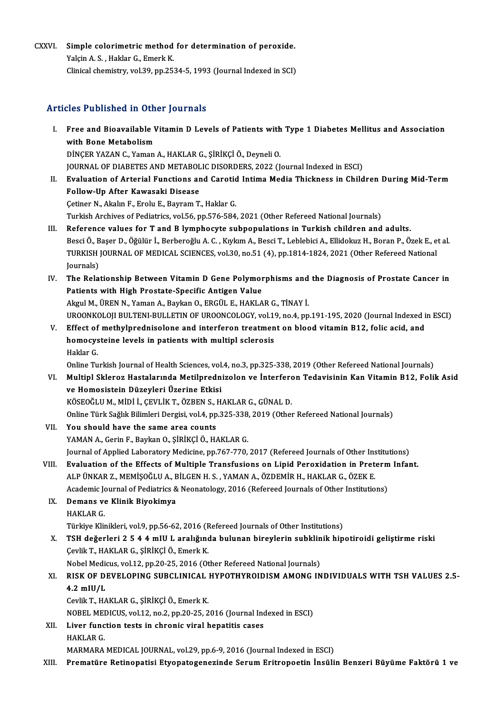CXXVI. Simple colorimetric method for determination of peroxide. Simple colorimetric method<br>Yalçin A. S. , Haklar G., Emerk K.<br>Clinical chamistry, yal 30, nn 25: Simple colorimetric method for determination of peroxide.<br>Yalçin A. S. , Haklar G., Emerk K.<br>Clinical chemistry, vol.39, pp.2534-5, 1993 (Journal Indexed in SCI) Clinical chemistry, vol.39, pp.2534-5, 1993 (Journal Indexed in SCI)<br>Articles Published in Other Journals

- I. Free and Bioavailable Vitamin D Levels of Patients with Type 1 DiabetesMel itus and Association Free and Bioavailable<br>Free and Bioavailable<br>Dincep v47AN C. Vaman Free and Bioavailable Vitamin D Levels of Patients with<br>with Bone Metabolism<br>DİNÇER YAZAN C., Yaman A., HAKLAR G., ŞİRİKÇİ Ö., Deyneli O.<br>JOUPNAL OE DIAPETES AND METABOLIC DISOPDERS 2022 (L with Bone Metabolism<br>DİNÇER YAZAN C., Yaman A., HAKLAR G., ŞİRİKÇİ Ö., Deyneli O.<br>JOURNAL OF DIABETES AND METABOLIC DISORDERS, 2022 (Journal Indexed in ESCI)
- DİNÇER YAZAN C., Yaman A., HAKLAR G., ŞİRİKÇİ Ö., Deyneli O.<br>JOURNAL OF DIABETES AND METABOLIC DISORDERS, 2022 (Journal Indexed in ESCI)<br>II. Evaluation of Arterial Functions and Carotid Intima Media Thickness in Childr JOURNAL OF DIABETES AND METABOL<br>Evaluation of Arterial Functions ar<br>Follow-Up After Kawasaki Disease<br>Cetiner N. Altalın E. Enely E. Beyram T. Evaluation of Arterial Functions and Carotic<br>Follow-Up After Kawasaki Disease<br>Cetiner N., Akalın F., Erolu E., Bayram T., Haklar G.<br>Turkich Archives of Bodistrics vel 56 np 576 594 Follow-Up After Kawasaki Disease<br>Cetiner N., Akalın F., Erolu E., Bayram T., Haklar G.<br>Turkish Archives of Pediatrics, vol.56, pp.576-584, 2021 (Other Refereed National Journals)

- III. Reference values for T and B lymphocyte subpopulations in Turkish children and adults. Turkish Archives of Pediatrics, vol.56, pp.576-584, 2021 (Other Refereed National Journals)<br>Reference values for T and B lymphocyte subpopulations in Turkish children and adults.<br>Besci Ö., Başer D., Öğülür İ., Berberoğlu A Reference values for T and B lymphocyte subpopulations in Turkish children and adults.<br>Besci Ö., Başer D., Öğülür İ., Berberoğlu A. C. , Kıykım A., Besci T., Leblebici A., Ellidokuz H., Boran P., Özek E., e<br>TURKISH JOURNAL Besci Ö., B<br>TURKISH<br>Journals)<br>The Pola TURKISH JOURNAL OF MEDICAL SCIENCES, vol.30, no.51 (4), pp.1814-1824, 2021 (Other Refereed National<br>Journals)<br>IV. The Relationship Between Vitamin D Gene Polymorphisms and the Diagnosis of Prostate Cancer in<br>Patients with
- Journals)<br>The Relationship Between Vitamin D Gene Polymor<br>Patients with High Prostate-Specific Antigen Value<br>Akrul M, ÜPEN N, Vaman A, Baykan O, EPCÜL E, HAKLA The Relationship Between Vitamin D Gene Polymorphisms and<br>Patients with High Prostate-Specific Antigen Value<br>Akgul M., ÜREN N., Yaman A., Baykan O., ERGÜL E., HAKLAR G., TİNAY İ.<br>UROONKOLOU BULTENL BULLETIN OF UROONCOLOCY Patients with High Prostate-Specific Antigen Value<br>Akgul M., ÜREN N., Yaman A., Baykan O., ERGÜL E., HAKLAR G., TİNAY İ.<br>UROONKOLOJI BULTENI-BULLETIN OF UROONCOLOGY, vol.19, no.4, pp.191-195, 2020 (Journal Indexed in ESCI)

Akgul M., ÜREN N., Yaman A., Baykan O., ERGÜL E., HAKLAR G., TİNAY İ.<br>UROONKOLOJI BULTENI-BULLETIN OF UROONCOLOGY, vol.19, no.4, pp.191-195, 2020 (Journal Indexed i<br>V. Effect of methylprednisolone and interferon treatment UROONKOLOJI BULTENI-BULLETIN OF UROONCOLOGY, vol.19<br>Effect of methylprednisolone and interferon treatmen<br>homocysteine levels in patients with multipl sclerosis<br>Hakkar V. Effect of methylprednisolone and interferon treatment on blood vitamin B12, folic acid, and<br>homocysteine levels in patients with multipl sclerosis<br>Haklar G. homocysteine levels in patients with multipl sclerosis<br>Haklar G.<br>Online Turkish Journal of Health Sciences, vol.4, no.3, pp.325-338, 2019 (Other Refereed National Journals)<br>Multipl Skleneg Hestelanude Metilprednigelen ve I

Haklar G.<br>Online Turkish Journal of Health Sciences, vol.4, no.3, pp.325-338, 2019 (Other Refereed National Journals)<br>VI. Multipl Skleroz Hastalarında Metilprednizolon ve İnterferon Tedavisinin Kan Vitamin B12, Folik A Online Turkish Journal of Health Sciences, vol.<br>Multipl Skleroz Hastalarında Metilpredn<br>ve Homosistein Düzeyleri Üzerine Etkisi<br>KÖSEOČLUM MİDİ LEEVLİK T. ÖZPENS, H Multipl Skleroz Hastalarında Metilprednizolon ve İnterfero<br>ve Homosistein Düzeyleri Üzerine Etkisi<br>KÖSEOĞLUM., MİDİ İ., ÇEVLİK T., ÖZBEN S., HAKLAR G., GÜNAL D.<br>Online Türk Seğlir Bilimleri Dergisi vel.4, np.325, 339, 3010 ve Homosistein Düzeyleri Üzerine Etkisi<br>KÖSEOĞLU M., MİDİ İ., ÇEVLİK T., ÖZBEN S., HAKLAR G., GÜNAL D.<br>Online Türk Sağlık Bilimleri Dergisi, vol.4, pp.325-338, 2019 (Other Refereed National Journals)<br>You shauld have the sa

- KÖSEOĞLU M., MİDİ İ., ÇEVLİK T., ÖZBEN S., I<br>Online Türk Sağlık Bilimleri Dergisi, vol.4, pp<br>VII. You should have the same area counts<br>VAMAN A. Corin E. Boylan Q. SİBİKÇİ Ö. H Online Türk Sağlık Bilimleri Dergisi, vol.4, pp.325-338<br>You should have the same area counts<br>YAMAN A., Gerin F., Baykan O., ŞİRİKÇİ Ö., HAKLAR G.<br>Journal of Annlied Laboratoru Medigine, pp.767,770 VII. You should have the same area counts<br>YAMAN A., Gerin F., Baykan O., ŞİRİKÇİ Ö., HAKLAR G.<br>Journal of Applied Laboratory Medicine, pp.767-770, 2017 (Refereed Journals of Other Institutions) YAMAN A., Gerin F., Baykan O., ŞİRİKÇİ Ö., HAKLAR G.<br>Journal of Applied Laboratory Medicine, pp.767-770, 2017 (Refereed Journals of Other Institutions)<br>VIII. Evaluation of the Effects of Multiple Transfusions on Lipid Pero
- Journal of Applied Laboratory Medicine, pp.767-770, 2017 (Refereed Journals of Other Ins<br>Evaluation of the Effects of Multiple Transfusions on Lipid Peroxidation in Pret<br>ALP ÜNKAR Z., MEMİŞOĞLU A., BİLGEN H. S. , YAMAN A., Evaluation of the Effects of Multiple Transfusions on Lipid Peroxidation in Preterm<br>ALP ÜNKAR Z., MEMİŞOĞLU A., BİLGEN H. S. , YAMAN A., ÖZDEMİR H., HAKLAR G., ÖZEK E.<br>Academic Journal of Pediatrics & Neonatology, 2016 (Re ALP ÜNKAR Z., MEMİŞOĞLU A., BİLGEN H. S. , YAMAN A., ÖZDEMİR H., HAKLAR G., ÖZEK E.<br>Academic Journal of Pediatrics & Neonatology, 2016 (Refereed Journals of Other Institutio<br>IX. **Demans ve Klinik Biyokimya**<br>HAKLAR G. Academic Journal of Pediatrics & Neonatology, 2016 (Refereed Journals of Other Institutions)

Türkiye Klinikleri, vol.9, pp.56-62, 2016 (Refereed Journals of Other Institutions)

HAKLAR G.<br>Türkiye Klinikleri, vol.9, pp.56-62, 2016 (Refereed Journals of Other Institutions)<br>X. TSH değerleri 2 5 4 4 mIU L aralığında bulunan bireylerin subklinik hipotiroidi geliştirme riski<br>Covlik T. HAKLAR C. SİRİ Çevlik T., HAKLAR G., ŞİRİKÇİ Ö., Emerk K.<br>Nobel Medicus, vol.12, pp.20-25, 2016 (Other Refereed National Journals) TSH değerleri 2 5 4 4 mIU L aralığında bulunan bireylerin subklin<br>Çevlik T., HAKLAR G., ŞİRİKÇİ Ö., Emerk K.<br>Nobel Medicus, vol.12, pp.20-25, 2016 (Other Refereed National Journals)<br>RISK OE DEVELORING SURGI INIGAL HYROTHYR

# Cevlik T., HAKLAR G., ŞİRİKÇİ Ö., Emerk K.<br>Nobel Medicus, vol.12, pp.20-25, 2016 (Other Refereed National Journals)<br>XI. RISK OF DEVELOPING SUBCLINICAL HYPOTHYROIDISM AMONG INDIVIDUALS WITH TSH VALUES 2.5-<br>4.2 mill/l 4.2 mIU/L<br>Cevlik T., HAKLAR G., ŞİRİKÇİ Ö., Emerk K. RISK OF DEVELOPING SUBCLINICAL<br>4.2 mIU/L<br>Cevlik T., HAKLAR G., ŞİRİKÇİ Ö., Emerk K.<br>NOBEL MEDICUS vel 12 no 2 nn 20 25-2 4.2 mIU/L<br>Cevlik T., HAKLAR G., ŞİRİKÇİ Ö., Emerk K.<br>NOBEL MEDICUS, vol.12, no.2, pp.20-25, 2016 (Journal Indexed in ESCI)<br>Liver fungtion tests in ehnenis viral benatitis sasss

XII. Liver function tests in chronic viral hepatitis cases<br>HAKLAR G. NOBEL MEI<br>Liver func<br>HAKLAR G.<br>MARMARA

MARMARA MEDICAL JOURNAL, vol.29, pp.6-9, 2016 (Journal Indexed in ESCI)

XIII. Prematüre Retinopatisi Etyopatogenezinde Serum Eritropoetin İnsülin Benzeri Büyüme Faktörü 1 ve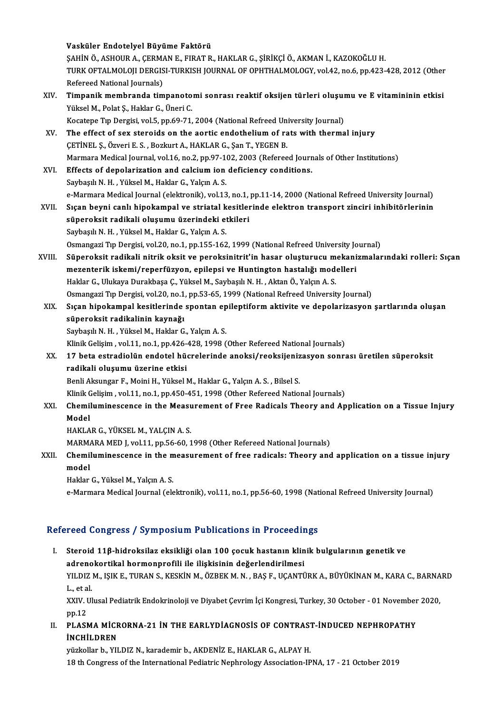|        | Vasküler Endotelyel Büyüme Faktörü                                                                         |
|--------|------------------------------------------------------------------------------------------------------------|
|        | ŞAHİN Ö., ASHOUR A., ÇERMAN E., FIRAT R., HAKLAR G., ŞİRİKÇİ Ö., AKMAN İ., KAZOKOĞLU H.                    |
|        | TURK OFTALMOLOJI DERGISI-TURKISH JOURNAL OF OPHTHALMOLOGY, vol.42, no.6, pp.423-428, 2012 (Other           |
|        | Refereed National Journals)                                                                                |
| XIV.   | Timpanik membranda timpanotomi sonrası reaktif oksijen türleri oluşumu ve E vitamininin etkisi             |
|        | Yüksel M., Polat Ş., Haklar G., Üneri C.                                                                   |
|        | Kocatepe Tıp Dergisi, vol.5, pp.69-71, 2004 (National Refreed University Journal)                          |
| XV.    | The effect of sex steroids on the aortic endothelium of rats with thermal injury                           |
|        | ÇETİNEL Ş., Özveri E. S., Bozkurt A., HAKLAR G., Şan T., YEGEN B.                                          |
|        | Marmara Medical Journal, vol.16, no.2, pp.97-102, 2003 (Refereed Journals of Other Institutions)           |
| XVI.   | Effects of depolarization and calcium ion deficiency conditions.                                           |
|        | Saybaşılı N. H., Yüksel M., Haklar G., Yalçın A. S.                                                        |
|        | e-Marmara Medical Journal (elektronik), vol.13, no.1, pp.11-14, 2000 (National Refreed University Journal) |
| XVII.  | Sıçan beyni canlı hipokampal ve striatal kesitlerinde elektron transport zinciri inhibitörlerinin          |
|        | süperoksit radikali oluşumu üzerindeki etkileri                                                            |
|        | Saybaşılı N. H., Yüksel M., Haklar G., Yalçın A. S.                                                        |
|        | Osmangazi Tıp Dergisi, vol.20, no.1, pp.155-162, 1999 (National Refreed University Journal)                |
| XVIII. | Süperoksit radikali nitrik oksit ve peroksinitrit'in hasar oluşturucu mekanizmalarındaki rolleri: Sıçan    |
|        | mezenterik iskemi/reperfüzyon, epilepsi ve Huntington hastalığı modelleri                                  |
|        | Haklar G., Ulukaya Durakbaşa Ç., Yüksel M., Saybaşılı N. H., Aktan Ö., Yalçın A. S.                        |
|        | Osmangazi Tip Dergisi, vol.20, no.1, pp.53-65, 1999 (National Refreed University Journal)                  |
| XIX.   | Sıçan hipokampal kesitlerinde spontan epileptiform aktivite ve depolarizasyon şartlarında oluşan           |
|        | süperoksit radikalinin kaynağı                                                                             |
|        | Saybaşılı N. H., Yüksel M., Haklar G., Yalçın A. S.                                                        |
|        | Klinik Gelişim, vol.11, no.1, pp.426-428, 1998 (Other Refereed National Journals)                          |
| XX.    | 17 beta estradiolün endotel hücrelerinde anoksi/reoksijenizasyon sonrası üretilen süperoksit               |
|        | radikali oluşumu üzerine etkisi                                                                            |
|        | Benli Aksungar F., Moini H., Yüksel M., Haklar G., Yalçın A. S., Bilsel S.                                 |
|        | Klinik Gelişim, vol.11, no.1, pp.450-451, 1998 (Other Refereed National Journals)                          |
| XXI.   | Chemiluminescence in the Measurement of Free Radicals Theory and Application on a Tissue Injury            |
|        | Model                                                                                                      |
|        | HAKLAR G., YÜKSEL M., YALÇIN A. S.                                                                         |
|        | MARMARA MED J, vol.11, pp.56-60, 1998 (Other Refereed National Journals)                                   |
| XXII.  | Chemiluminescence in the measurement of free radicals: Theory and application on a tissue injury<br>model  |
|        | Haklar G., Yüksel M., Yalçın A. S.                                                                         |
|        | e-Marmara Medical Journal (elektronik), vol.11, no.1, pp.56-60, 1998 (National Refreed University Journal) |
|        |                                                                                                            |

#### Refereed Congress / Symposium Publications in Proceedings

I. Steroid 11β-hidroksilaz eksikliği olan 100 çocuk hastanın klinik bulgularının genetik ve adrenokortikal hormonprofili ile ilişkisinin değerlendirilmesi<br>adrenokortikal hormonprofili ile ilişkisinin değerlendirilmesi<br>VU DIZ MUSEK TURAN SUKRENIM ÖZERMAN BASE UCANTİ YILDIZ M., IŞIK E., TURAN S., KESKİN M., ÖZBEK M. N. , BAŞ F., UÇANTÜRK A., BÜYÜKİNAN M., KARA C., BARNARD<br>L., et al. a<mark>dreno</mark><br>YILDIZ<br>L., et al.<br>vvuv. ul YILDIZ M., IŞIK E., TURAN S., KESKİN M., ÖZBEK M. N. , BAŞ F., UÇANTÜRK A., BÜYÜKİNAN M., KARA C., BARNA<br>L., et al.<br>XXIV. Ulusal Pediatrik Endokrinoloji ve Diyabet Çevrim İçi Kongresi, Turkey, 30 October - 01 November 2020 L., et a<br>XXIV. I<br>pp.12<br>pr. 451

XXIV. Ulusal Pediatrik Endokrinoloji ve Diyabet Çevrim İçi Kongresi, Turkey, 30 October - 01 November<br>pp.12<br>II. PLASMA MİCRORNA-21 İN THE EARLYDİAGNOSİS OF CONTRAST-İNDUCED NEPHROPATHY<br>INCHIL PREN

pp.12<br>II. PLASMA MICRORNA-21 IN THE EARLYDIAGNOSIS OF CONTRAST-INDUCED NEPHROPATHY<br>INCHILDREN

yüzkollar b., YILDIZ N., karademir b., AKDENİZ E., HAKLAR G., ALPAY H. 18 th Congress of the International Pediatric Nephrology Association-IPNA, 17 - 21 October 2019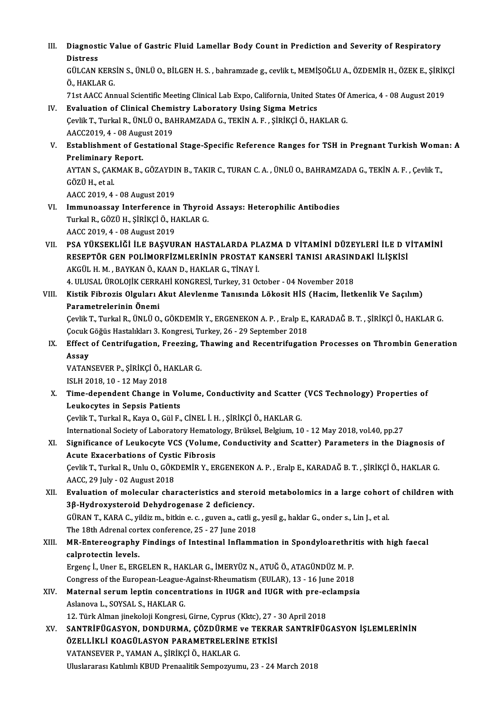III. Diagnostic Value of Gastric Fluid Lamellar Body Count in Prediction and Severity of Respiratory<br>Distress Diagnost<br>Distress<br>CÜLCAN I Diagnostic Value of Gastric Fluid Lamellar Body Count in Prediction and Severity of Respiratory<br>Distress<br>GÜLCAN KERSİN S., ÜNLÜ O., BİLGEN H. S. , bahramzade g., cevlik t., MEMİŞOĞLU A., ÖZDEMİR H., ÖZEK E., ŞİRİKÇİ<br>Ö. HAK Distress<br>GÜLCAN KERS<br>Ö., HAKLAR G.<br>71st AACC Anx GÜLCAN KERSİN S., ÜNLÜ O., BİLGEN H. S. , bahramzade g., cevlik t., MEMİŞOĞLU A., ÖZDEMİR H., ÖZEK E., ŞİRİK<br>Ö., HAKLAR G.<br>71st AACC Annual Scientific Meeting Clinical Lab Expo, California, United States Of America, 4 - 08 Ö., HAKLAR G.<br>1913 T1st AACC Annual Scientific Meeting Clinical Lab Expo, California, United States Of America, 4 - 08 August<br>1919 IV. Evaluation of Clinical Chemistry Laboratory Using Sigma Metrics 71st AACC Annual Scientific Meeting Clinical Lab Expo, California, United States Of .<br>**Evaluation of Clinical Chemistry Laboratory Using Sigma Metrics**<br>Çevlik T., Turkal R., ÜNLÜ O., BAHRAMZADA G., TEKİN A. F. , ŞİRİKÇİ Ö. Evaluation of Clinical Chemi<br>Çevlik T., Turkal R., ÜNLÜ O., BA<br>AACC2019, 4 - 08 August 2019<br>Establishment of Cestatione Cevlik T., Turkal R., ÜNLÜ O., BAHRAMZADA G., TEKİN A. F. , ŞİRİKÇİ Ö., HAKLAR G.<br>AACC2019, 4 - 08 August 2019<br>V. Establishment of Gestational Stage-Specific Reference Ranges for TSH in Pregnant Turkish Woman: A<br>Prelim AACC2019, 4 - 08 Augu<br>Establishment of Ge<br>Preliminary Report.<br>AYTAN S. CAKMAK B Establishment of Gestational Stage-Specific Reference Ranges for TSH in Pregnant Turkish Woma<br>Preliminary Report.<br>AYTAN S., ÇAKMAK B., GÖZAYDIN B., TAKIR C., TURAN C. A. , ÜNLÜ O., BAHRAMZADA G., TEKİN A. F. , Çevlik T.,<br>C Preliminary<br>AYTAN S., ÇAK<br>GÖZÜ H., et al.<br>AACC 2019 4 AYTAN S., ÇAKMAK B., GÖZAYDI<br>GÖZÜ H., et al.<br>AACC 2019, 4 - 08 August 2019<br>Immunoossay Interferense. i GÖZÜ H., et al.<br>AACC 2019, 4 - 08 August 2019<br>VI. Immunoassay Interference in Thyroid Assays: Heterophilic Antibodies<br>Turkel B. GÖZÜ H. Sipikçi Ö. HAKLAR G AACC 2019, 4 - 08 August 2019<br>Immunoassay Interference in Thyroi<br>Turkal R., GÖZÜ H., ŞİRİKÇİ Ö., HAKLAR G.<br>AACC 2019, 4 - 08 Aygust 2019 I<mark>mmunoassay Interference</mark> ii<br>Turkal R., GÖZÜ H., ŞİRİKÇİ Ö., H.<br>AACC 2019, 4 - 08 August 2019<br>PSA YÜKSEKLİĞİ İLE PASYILI Turkal R., GÖZÜ H., ŞİRİKÇİ Ö., HAKLAR G.<br>AACC 2019, 4 - 08 August 2019<br>VII. — PSA YÜKSEKLİĞİ İLE BAŞVURAN HASTALARDA PLAZMA D VİTAMİNİ DÜZEYLERİ İLE D VİTAMİNİ<br>RESERTÖR GEN POLİMOREİZMI ERİNİN PROSTAT KANSERİ TANISLARASIN AACC 2019, 4 - 08 August 2019<br>PSA YÜKSEKLİĞİ İLE BAŞVURAN HASTALARDA PLAZMA D VİTAMİNİ DÜZEYLERİ İLE D V<br>RESEPTÖR GEN POLİMORFİZMLERİNİN PROSTAT KANSERİ TANISI ARASINDAKİ İLİŞKİSİ<br>AKÇÜL H.M. PAYKANÖ, KAAND, HAKLAR G. TİNAV PSA YÜKSEKLIĞI İLE BAŞVURAN HASTALARDA PL<br>RESEPTÖR GEN POLIMORFIZMLERININ PROSTAT I<br>AKGÜL H. M. , BAYKAN Ö., KAAN D., HAKLAR G., TİNAY İ.<br>4. III USAL ÜROLOUZ CERRAHI KONGRESI Turkay 31 Q. RESEPTÖR GEN POLIMORFIZMLERININ PROSTAT KANSERI TANISI ARASINI<br>AKGÜL H. M. , BAYKAN Ö., KAAN D., HAKLAR G., TINAY İ.<br>4. ULUSAL ÜROLOJİK CERRAHİ KONGRESİ, Turkey, 31 October - 04 November 2018<br>Kiştik Eibrozis Olavları Alut AKGÜL H. M. , BAYKAN Ö., KAAN D., HAKLAR G., TİNAY İ.<br>4. ULUSAL ÜROLOJİK CERRAHİ KONGRESİ, Turkey, 31 October - 04 November 2018<br>VIII. Kistik Fibrozis Olguları Akut Alevlenme Tanısında Lökosit HİS (Hacim, İletkenlik Ve Saç 4. ULUSAL ÜROLOJİK CERR<br>Kistik Fibrozis Olguları *I*<br>Parametrelerinin Önemi<br>Cevlik T. Turkal B. ÜNLÜ O Kistik Fibrozis Olguları Akut Alevlenme Tanısında Lökosit HİS (Hacim, İletkenlik Ve Saçılım)<br>Parametrelerinin Önemi<br>Çevlik T., Turkal R., ÜNLÜ O., GÖKDEMİR Y., ERGENEKON A. P. , Eralp E., KARADAĞ B. T. , ŞİRİKÇİ Ö., HAKLAR Parametrelerinin Önemi<br>Çevlik T., Turkal R., ÜNLÜ O., GÖKDEMİR Y., ERGENEKON A. P. , Eralp E.,<br>Çocuk Göğüs Hastalıkları 3. Kongresi, Turkey, 26 - 29 September 2018<br>Effect of Contrifugation, Eneeging, Thawing and Becentrifu Cevlik T., Turkal R., ÜNLÜ O., GÖKDEMİR Y., ERGENEKON A. P. , Eralp E., KARADAĞ B. T. , ŞİRİKÇİ Ö., HAKLAR G.<br>Cocuk Göğüs Hastalıkları 3. Kongresi, Turkey, 26 - 29 September 2018<br>IX. Effect of Centrifugation, Freezing, Tha Çocuk Göğüs Hastalıkları 3. Kongresi, Turkey, 26 - 29 September 2018<br>Effect of Centrifugation, Freezing, Thawing and Recentrifugati<br>Assay IX. Effect of Centrifugation, Freezing, Thawing and Recentrifugation Processes on Thrombin Generation<br>Assay<br>VATANSEVER P., ŞİRİKÇİ Ö., HAKLAR G.<br>ISLH 2018, 10 - 12 May 2018 VATANSEVER P., SİRİKÇİ Ö., HAKLAR G. VATANSEVER P., ŞİRİKÇİ Ö., HAKLAR G.<br>ISLH 2018, 10 - 12 May 2018<br>X. Time-dependent Change in Volume, Conductivity and Scatter (VCS Technology) Properties of ISLH 2018, 10 - 12 May 2018<br>Time-dependent Change in Vo<br>Leukocytes in Sepsis Patients<br>Carlik T. Turkel B. Kaya Q. Gül E Time-dependent Change in Volume, Conductivity and Scatter<br>Leukocytes in Sepsis Patients<br>Çevlik T., Turkal R., Kaya O., Gül F., CİNEL İ. H. , ŞİRİKÇİ Ö., HAKLAR G.<br>International Sosiaty of Laboratory Hamatology, Prükasl Pol Leukocytes in Sepsis Patients<br>Çevlik T., Turkal R., Kaya O., Gül F., CİNEL İ. H. , ŞİRİKÇİ Ö., HAKLAR G.<br>International Society of Laboratory Hematology, Brüksel, Belgium, 10 - 12 May 2018, vol.40, pp.27<br>Significance of Lau Cevlik T., Turkal R., Kaya O., Gül F., CİNEL İ. H. , ŞİRİKÇİ Ö., HAKLAR G.<br>International Society of Laboratory Hematology, Brüksel, Belgium, 10 - 12 May 2018, vol.40, pp.27<br>XI. Significance of Leukocyte VCS (Volume, Conduc International Society of Laboratory Hematol<br>Significance of Leukocyte VCS (Volume<br>Acute Exacerbations of Cystic Fibrosis<br>Ceulit T. Turkel B. Unke O. CÖKDEMİB V. EL Significance of Leukocyte VCS (Volume, Conductivity and Scatter) Parameters in the Diagnosis o<br>Acute Exacerbations of Cystic Fibrosis<br>Çevlik T., Turkal R., Unlu O., GÖKDEMİR Y., ERGENEKON A. P. , Eralp E., KARADAĞ B. T. , Acute Exacerbations of Cysti<br>Çevlik T., Turkal R., Unlu O., GÖK<br>AACC, 29 July - 02 August 2018<br>Evaluation of malagular shai Cevlik T., Turkal R., Unlu O., GÖKDEMİR Y., ERGENEKON A. P. , Eralp E., KARADAĞ B. T. , ŞİRİKÇİ Ö., HAKLAR G.<br>AACC, 29 July - 02 August 2018<br>XII. Evaluation of molecular characteristics and steroid metabolomics in a large AACC, 29 July - 02 August 2018<br>Evaluation of molecular characteristics and stere<br>3β-Hydroxysteroid Dehydrogenase 2 deficiency.<br>CÜRAN T. KARA C. vildir m. bitkin e. c. συνοη a. catli c Evaluation of molecular characteristics and steroid metabolomics in a large cohort<br>3β-Hydroxysteroid Dehydrogenase 2 deficiency.<br>GÜRAN T., KARA C., yildiz m., bitkin e. c. , guven a., catli g., yesil g., haklar G., onder 3β-Hydroxysteroid Dehydrogenase 2 deficiency.<br>GÜRAN T., KARA C., yildiz m., bitkin e. c. , guven a., catli g.<br>The 18th Adrenal cortex conference, 25 - 27 June 2018<br>MB. Enterogeranhy Eindings of Intestinal Inflamm GÜRAN T., KARA C., yildiz m., bitkin e. c. , guven a., catli g., yesil g., haklar G., onder s., Lin J., et al.<br>The 18th Adrenal cortex conference, 25 - 27 June 2018<br>XIII. MR-Entereography Findings of Intestinal Inflammatio The 18th Adrenal cor<br>MR-Entereography<br>calprotectin levels.<br>Ergens L. Uner E. ERG MR-Entereography Findings of Intestinal Inflammation in Spondyloarethri<br>calprotectin levels.<br>Ergenç İ., Uner E., ERGELEN R., HAKLAR G., İMERYÜZ N., ATUĞ Ö., ATAGÜNDÜZ M. P.<br>Congress of the European League Ageinst Pheumatie calprotectin levels.<br>Ergenç İ., Uner E., ERGELEN R., HAKLAR G., İMERYÜZ N., ATUĞ Ö., ATAGÜNDÜZ M. P. Ergenç İ., Uner E., ERGELEN R., HAKLAR G., İMERYÜZ N., ATUĞ Ö., ATAGÜNDÜZ M. P.<br>Congress of the European-League-Against-Rheumatism (EULAR), 13 - 16 June 2018<br>XIV. Maternal serum leptin concentrations in IUGR and IUGR with Congress of the European-League-Against-Rheumatism (EULAR), 13 - 16 June 2018<br>Maternal serum leptin concentrations in IUGR and IUGR with pre-eclampsi<br>Aslanova L., SOYSAL S., HAKLAR G.<br>12. Türk Alman jinekoloji Kongresi, Gi Maternal serum leptin concentrations in IUGR and IUGR with pre-ed<br>Aslanova L., SOYSAL S., HAKLAR G.<br>12. Türk Alman jinekoloji Kongresi, Girne, Cyprus (Kktc), 27 - 30 April 2018<br>SANTRİEÜC ASYON, DONDURMA, CÖZDÜRME v.9, TEKR Aslanova L., SOYSAL S., HAKLAR G.<br>12. Türk Alman jinekoloji Kongresi, Girne, Cyprus (Kktc), 27 - 30 April 2018<br>XV. SANTRİFÜGASYON, DONDURMA, ÇÖZDÜRME ve TEKRAR SANTRİFÜGASYON İŞLEMLERİNİN<br>ÖZELLİKLİ KOACÜLASYON BARAMETR 12. Türk Alman jinekoloji Kongresi, Girne, Cyprus (Kktc), 27 -<br>SANTRİFÜGASYON, DONDURMA, ÇÖZDÜRME ve TEKRA<br>ÖZELLİKLİ KOAGÜLASYON PARAMETRELERİNE ETKİSİ<br>VATANSEVER R YAMAN A, SİRİKÇİ Ö, HAKLAR C SANTRİFÜGASYON, DONDURMA, ÇÖZDÜRME<br>ÖZELLİKLİ KOAGÜLASYON PARAMETRELERİI<br>VATANSEVER P., YAMAN A., ŞİRİKÇİ Ö., HAKLAR G.<br>Hivelararga Katılımlı KBUD Prenselitik Samnezyum ÖZELLİKLİ KOAGÜLASYON PARAMETRELERİNE ETKİSİ<br>VATANSEVER P., YAMAN A., ŞİRİKÇİ Ö., HAKLAR G.<br>Uluslararası Katılımlı KBUD Prenaalitik Sempozyumu, 23 - 24 March 2018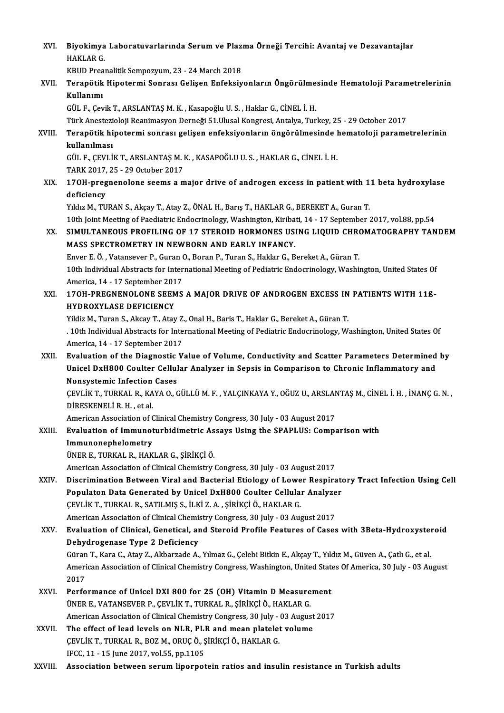XVI. Biyokimya Laboratuvarlarında Serum ve Plazma Örneği Tercihi: Avantaj ve Dezavantajlar<br>HAKLAR G Biyokimya<br>HAKLAR G.<br>KRUD Presi Biyokimya Laboratuvarlarında Serum ve Plazı<br>HAKLAR G.<br>KBUD Preanalitik Sempozyum, 23 - 24 March 2018<br>Tenenätik Hinetermi Sennesı Celisen Enfeksiy

# HAKLAR G.<br>KBUD Preanalitik Sempozyum, 23 - 24 March 2018<br>XVII. Terapötik Hipotermi Sonrası Gelişen Enfeksiyonların Öngörülmesinde Hematoloji Parametrelerinin<br>Kullanımı KBUD Prea<br>Terapötik<br>Kullanımı<br>CÜLE Cev Terapötik Hipotermi Sonrası Gelişen Enfeksiyonların Öngörülme<br>Kullanımı<br>GÜL F., Çevik T., ARSLANTAŞ M. K. , Kasapoğlu U. S. , Haklar G., CİNEL İ. H.<br>Türk Anesterialeji Beanimasyan Derneği 51 Ulusal Kanaresi, Antalya Tur Kullanımı<br>GÜL F., Çevik T., ARSLANTAŞ M. K. , Kasapoğlu U. S. , Haklar G., CİNEL İ. H.<br>Türk Anestezioloji Reanimasyon Derneği 51.Ulusal Kongresi, Antalya, Turkey, 25 - 29 October 2017<br>Terenötik binetermi senresu gelisen en

## GÜL F., Çevik T., ARSLANTAŞ M. K. , Kasapoğlu U. S. , Haklar G., CİNEL İ. H.<br>Türk Anestezioloji Reanimasyon Derneği 51.Ulusal Kongresi, Antalya, Turkey, 25 - 29 October 2017<br>XVIII. Terapötik hipotermi sonrası gelişen e Türk Anestez<mark>i</mark><br>Terapötik hi<br>kullanılması<br>Cül E. CEVI İ Terapötik hipotermi sonrası gelişen enfeksiyonların öngörülmesinde l<br>kullanılması<br>GÜL F., ÇEVLİK T., ARSLANTAŞ M. K. , KASAPOĞLU U. S. , HAKLAR G., CİNEL İ. H.<br>TARK 2017-25 - 29 Ostober 2017 <mark>kullanılması</mark><br>GÜL F., ÇEVLİK T., ARSLANTAŞ M. I<br>TARK 2017, 25 - 29 October 2017<br>170H. pragnanalana saams a. r

TARK 2017, 25 - 29 October 2017

XIX. 17OH-pregnenolone seems a major drive of androgen excess in patient with 11 beta hydroxylase<br>deficiency

Yıldız M., TURAN S., Akçay T., Atay Z., ÖNAL H., Barış T., HAKLAR G., BEREKET A., Guran T.

10th Joint Meeting of Paediatric Endocrinology, Washington, Kiribati, 14 - 17 September 2017, vol.88, pp.54

XX. SIMULTANEOUS PROFILING OF 17 STEROID HORMONES USING LIQUID CHROMATOGRAPHY TANDEM MASS SPECTROMETRY IN NEWBORN AND EARLY INFANCY. SIMULTANEOUS PROFILING OF 17 STEROID HORMONES USING LIQUID CHRONASS SPECTROMETRY IN NEWBORN AND EARLY INFANCY.<br>Enver E.Ö., Vatansever P., Guran O., Boran P., Turan S., Haklar G., Bereket A., Güran T.<br>10th Individual Abstra

MASS SPECTROMETRY IN NEWBORN AND EARLY INFANCY.<br>Enver E. Ö. , Vatansever P., Guran O., Boran P., Turan S., Haklar G., Bereket A., Güran T.<br>10th Individual Abstracts for International Meeting of Pediatric Endocrinology, Was Enver E. Ö. , Vatansever P., Guran (<br>10th Individual Abstracts for Inter<br>America, 14 - 17 September 2017<br>170H BRECNENOLONE SEEMS 10th Individual Abstracts for International Meeting of Pediatric Endocrinology, Washington, United States Of<br>America, 14 - 17 September 2017<br>XXI. 17OH-PREGNENOLONE SEEMS A MAJOR DRIVE OF ANDROGEN EXCESS IN PATIENTS WITH 11

# America, 14 - 17 September 2017<br>XXI. 170H-PREGNENOLONE SEEMS A MAJOR DRIVE OF ANDROGEN EXCESS IN PATIENTS WITH 11ß-<br>HYDROXYLASE DEFICIENCY 170H-PREGNENOLONE SEEMS A MAJOR DRIVE OF ANDROGEN EXCESS IN<br>HYDROXYLASE DEFICIENCY<br>Yildiz M., Turan S., Akcay T., Atay Z., Onal H., Baris T., Haklar G., Bereket A., Güran T.<br>10th Individual Abstracts for International Meet

. 10th Individual Abstracts for International Meeting of Pediatric Endocrinology, Washington, United States Of<br>America, 14 - 17 September 2017 Yildiz M., Turan S., Akcay T., Atay Z.<br>. 10th Individual Abstracts for Inte<br>America, 14 - 17 September 2017<br>Evaluation of the Diagnestic V.

### XXII. Evaluation of the Diagnostic Value of Volume, Conductivity and Scatter Parameters Determined by America, 14 - 17 September 2017<br>Evaluation of the Diagnostic Value of Volume, Conductivity and Scatter Parameters Determined<br>Unicel DxH800 Coulter Cellular Analyzer in Sepsis in Comparison to Chronic Inflammatory and<br>Nonsy Evaluation of the Diagnostic<br>Unicel DxH800 Coulter Cellul<br>Nonsystemic Infection Cases<br>CEVU IV T TURVAL B - KAVA O-G Unicel DxH800 Coulter Cellular Analyzer in Sepsis in Comparison to Chronic Inflammatory and<br>Nonsystemic Infection Cases<br>ÇEVLİK T., TURKAL R., KAYA O., GÜLLÜ M. F. , YALÇINKAYA Y., OĞUZ U., ARSLANTAŞ M., CİNEL İ. H. , İNANÇ

Nonsystemic Infection<br>ÇEVLİK T., TURKAL R., KA<br>DİRESKENELİ R. H. , et al.<br>American Association of ( ÇEVLİK T., TURKAL R., KAYA O., GÜLLÜ M. F. , YALÇINKAYA Y., OĞUZ U., ARSLAN<br>DİRESKENELİ R. H. , et al.<br>American Association of Clinical Chemistry Congress, 30 July - 03 August 2017<br>Evaluation of Immunaturbidimetria Assova

DİRESKENELİ R. H. , et al.<br>American Association of Clinical Chemistry Congress, 30 July - 03 August 2017<br>XXIII. Evaluation of Immunoturbidimetric Assays Using the SPAPLUS: Comparison with<br>Immunonophelometry American Association of C<br>Evaluation of Immunot<br>Immunonephelometry<br><sup>UNED E</sup> TUPKAL B HAK Evaluation of Immunoturbidimetric As<br>Immunonephelometry<br>ÜNER E., TURKAL R., HAKLAR G., ŞİRİKÇİ Ö.<br>American Assesistion of Clinical Chamistru

I<mark>mmunonephelometry</mark><br>ÜNER E., TURKAL R., HAKLAR G., ŞİRİKÇİ Ö.<br>American Association of Clinical Chemistry Congress, 30 July - 03 August 2017<br>Disarimination Betusen Viral and Bastarial Etiolegy of Lewer Besnira

### ÜNER E., TURKAL R., HAKLAR G., ŞİRİKÇİ Ö.<br>American Association of Clinical Chemistry Congress, 30 July - 03 August 2017<br>XXIV. Discrimination Between Viral and Bacterial Etiology of Lower Respiratory Tract Infection Usi American Association of Clinical Chemistry Congress, 30 July - 03 August 2017<br>Discrimination Between Viral and Bacterial Etiology of Lower Respirate<br>Populaton Data Generated by Unicel DxH800 Coulter Cellular Analyzer<br>CEVLI ÇEVLİKT.,TURKALR.,SATILMIŞ S., İLKİZ.A. ,ŞİRİKÇİÖ.,HAKLARG. Populaton Data Generated by Unicel DxH800 Coulter Cellular Analyzer

#### American Association of Clinical Chemistry Congress, 30 July - 03 August 2017

# XXV. Evaluation of Clinical, Genetical, and Steroid Profile Features of Cases with 3Beta-Hydroxysteroid Evaluation of Clinical, Genetical, and Steroid Profile Features of Cases with 3Beta-Hydroxyster<br>Dehydrogenase Type 2 Deficiency<br>Güran T., Kara C., Atay Z., Akbarzade A., Yılmaz G., Çelebi Bitkin E., Akçay T., Yıldız M., Gü

De<mark>hydrogenase Type 2 Deficiency</mark><br>Güran T., Kara C., Atay Z., Akbarzade A., Yılmaz G., Çelebi Bitkin E., Akçay T., Yıldız M., Güven A., Çatlı G., et al.<br>American Association of Clinical Chemistry Congress, Washington, Unit Güran<br>Ameri<br>2017<br>Perfe American Association of Clinical Chemistry Congress, Washington, United State<br>2017<br>XXVI. Performance of Unicel DXI 800 for 25 (OH) Vitamin D Measurement<br>TINER E VATANGEVER R CEVI IV T TURVAL R SIRIVCLÖ HAVLAR C

- 2017<br>Performance of Unicel DXI 800 for 25 (OH) Vitamin D Measurement<br>ÜNER E., VATANSEVER P., ÇEVLİK T., TURKAL R., ŞİRİKÇİ Ö., HAKLAR G. Performance of Unicel DXI 800 for 25 (OH) Vitamin D Measurement<br>ÜNER E., VATANSEVER P., ÇEVLİK T., TURKAL R., ŞİRİKÇİ Ö., HAKLAR G.<br>American Association of Clinical Chemistry Congress, 30 July - 03 August 2017<br>The effect o UNER E., VATANSEVER P., ÇEVLİK T., TURKAL R., ŞİRİKÇİ Ö., HAKLAR G.<br>American Association of Clinical Chemistry Congress, 30 July - 03 August<br>XXVII. The effect of lead levels on NLR, PLR and mean platelet volume<br>CEVI İK T.
- American Association of Clinical Chemistry Congress, 30 July -<br>The effect of lead levels on NLR, PLR and mean platelet<br>ÇEVLİK T., TURKAL R., BOZ M., ORUÇ Ö., ŞİRİKÇİ Ö., HAKLAR G.<br>JECC 11 15 lune 2017 velEE nn 1105 The effect of lead levels on NLR, PLR and mean platelet volume<br>CEVLIK T., TURKAL R., BOZ M., ORUC Ö., ŞİRİKÇİ Ö., HAKLAR G.<br>IFCC, 11 - 15 June 2017, vol.55, pp.1105

XXVIII. Association between serum liporpotein ratios and insulin resistance in Turkish adults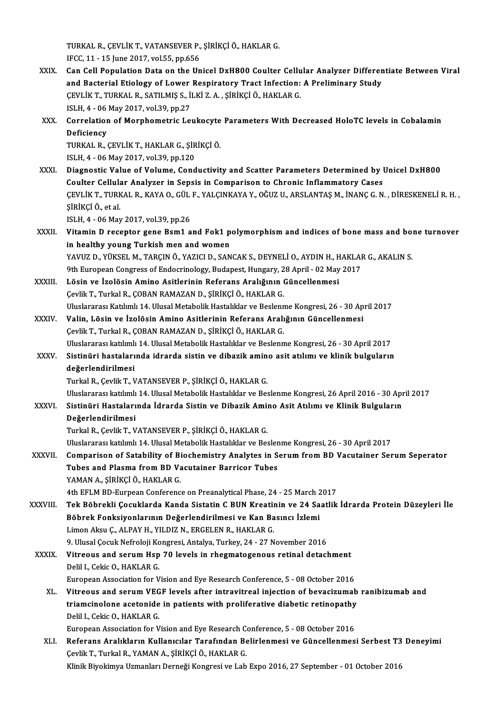TURKAL R., ÇEVLİK T., VATANSEVER P., ŞİRİKÇİ Ö., HAKLAR G.<br>JECC 11, .15 luna 2017, val55, pr.656 TURKAL R., ÇEVLİK T., VATANSEVER P.,<br>IFCC, 11 - 15 June 2017, vol.55, pp.656<br>Can Call Banulatian Pata an the Un

- XXIX. Can Cel Population Data on the Unicel DxH800 Coulter Cel ular Analyzer Differentiate Between Viral IFCC, 11 - 15 June 2017, vol.55, pp.656<br>Can Cell Population Data on the Unicel DxH800 Coulter Cellular Analyzer Differen<br>and Bacterial Etiology of Lower Respiratory Tract Infection: A Preliminary Study<br>CEVLIK TURKAL R. SAT Can Cell Population Data on the Unicel DxH800 Coulter Cellu<br>and Bacterial Etiology of Lower Respiratory Tract Infection:<br>ÇEVLİK T., TURKAL R., SATILMIŞ S., İLKİ Z. A. , ŞİRİKÇİ Ö., HAKLAR G.<br>ISLH 4. 06 May 2017 yol 29 nn 2 and Bacterial Etiology of Lower<br>ÇEVLİK T., TURKAL R., SATILMIŞ S., İl<br>ISLH, 4 - 06 May 2017, vol.39, pp.27<br>Correlation of Morphometris Let CEVLIK T., TURKAL R., SATILMIŞ S., İLKİ Z. A. , ŞİRİKÇİ Ö., HAKLAR G.<br>ISLH, 4 - 06 May 2017, vol.39, pp.27<br>XXX. Correlation of Morphometric Leukocyte Parameters With Decreased HoloTC levels in Cobalamin<br>Deficioney
- ISLH, 4 06<br>Correlation<br>Deficiency<br>TURKAL R Correlation of Morphometric Leukocyte<br>Deficiency<br>TURKAL R., ÇEVLİK T., HAKLAR G., ŞİRİKÇİ Ö.<br>ISLH 4.- 06 May 2017, yol 29-nn 120

Deficiency<br>TURKAL R., ÇEVLİK T., HAKLAR G., ŞİRİKÇİ Ö.<br>ISLH, 4 - 06 May 2017, vol.39, pp.120

TURKAL R., ÇEVLİK T., HAKLAR G., ŞİRİKÇİ Ö.<br>ISLH, 4 - 06 May 2017, vol.39, pp.120<br>XXXI. Diagnostic Value of Volume, Conductivity and Scatter Parameters Determined by Unicel DxH800<br> Goulter Gelluler Analyger in S ISLH, 4 - 06 May 2017, vol.39, pp.120<br>Diagnostic Value of Volume, Conductivity and Scatter Parameters Determined by l<br>Coulter Cellular Analyzer in Sepsis in Comparison to Chronic Inflammatory Cases<br>CEVU IK T TURKAL R, KAYA Coulter Cellular Analyzer in Sepsis in Comparison to Chronic Inflammatory Cases<br>ÇEVLİK T., TURKAL R., KAYA O., GÜL F., YALÇINKAYA Y., OĞUZ U., ARSLANTAŞ M., İNANÇ G.N. , DİRESKENELİ R.H. , ŞİRİKÇİÖ.,etal. \$iRİKÇİ Ö., et al.<br>ISLH, 4 - 06 May 2017, vol.39, pp.26<br>XXXII. Vitamin D receptor gene Bsm1 and Fok1 polymorphism and indices of bone mass and bone turnover<br>in healthy young Turkish man and waman

ISLH,4 -06May2017,vol.39,pp.26

ISLH, 4 - 06 May 2017, vol.39, pp.26<br>Vitamin D receptor gene Bsm1 and Fok1 p<br>in healthy young Turkish men and women<br>YAVUZ D - VÜKSEL M. TABCIN Ö, YAZICLD, SAN Vitamin D receptor gene Bsm1 and Fok1 polymorphism and indices of bone mass and both healthy young Turkish men and women<br>YAVUZ D., YÜKSEL M., TARÇIN Ö., YAZICI D., SANCAK S., DEYNELİ O., AYDIN H., HAKLAR G., AKALIN S.<br>9th in healthy young Turkish men and women<br>YAVUZ D., YÜKSEL M., TARÇIN Ö., YAZICI D., SANCAK S., DEYNELİ O., AYDIN H., HAKLAI<br>9th European Congress of Endocrinology, Budapest, Hungary, 28 April - 02 May 2017<br>Lêsin ve İrolêsin

- YAVUZ D., YÜKSEL M., TARÇIN Ö., YAZICI D., SANCAK S., DEYNELİ O., AYDIN H., HAKLAR G., AKALIN S.<br>9th European Congress of Endocrinology, Budapest, Hungary, 28 April 02 May 2017<br>XXXIII. Lösin ve İzolösin Amino Asitler 9th European Congress of Endocrinology, Budapest, Hungary, 2<br>Lösin ve İzolösin Amino Asitlerinin Referans Aralığının (<br>Çevlik T., Turkal R., ÇOBAN RAMAZAN D., ŞİRİKÇİ Ö., HAKLAR G.<br>Hluclararası Katılımlı 14 Hlusal Matabali UluslararasıKatılımlı14.UlusalMetabolikHastalıklar veBeslenmeKongresi,26 -30April2017
- XXXIV. Valin, Lösin ve İzolösin Amino Asitlerinin Referans Aralığının Güncellenmesi Çevlik T., Turkal R., ÇOBAN RAMAZAN D., ŞİRİKÇİ Ö., HAKLAR G. Valin, Lösin ve İzolösin Amino Asitlerinin Referans Aralığının Güncellenmesi<br>Çevlik T., Turkal R., ÇOBAN RAMAZAN D., ŞİRİKÇİ Ö., HAKLAR G.<br>Uluslararası katılımlı 14. Ulusal Metabolik Hastalıklar ve Beslenme Kongresi, 26 - Cevlik T., Turkal R., ÇOBAN RAMAZAN D., ŞİRİKÇİ Ö., HAKLAR G.<br>Uluslararası katılımlı 14. Ulusal Metabolik Hastalıklar ve Beslenme Kongresi, 26 - 30 April 2017<br>XXXV. Sistinüri hastalarında idrarda sistin ve dibazik amino

# Uluslararası katılımlı<br>Sistinüri hastaları<br>değerlendirilmesi<br>Turkal B. Covlik T. V Sistinüri hastalarında idrarda sistin ve dibazik amin<br>değerlendirilmesi<br>Turkal R., Çevlik T., VATANSEVER P., ŞİRİKÇİ Ö., HAKLAR G.<br>Uluslararası katılımlı 14 Ulusal Matabolik Hastalıklar ve Bes

değerlendirilmesi<br>Turkal R., Çevlik T., VATANSEVER P., ŞİRİKÇİ Ö., HAKLAR G.<br>Uluslararası katılımlı 14. Ulusal Metabolik Hastalıklar ve Beslenme Kongresi, 26 April 2016 - 30 April 2017<br>Sistinüri Hastalarında İdrarda Sistin

Turkal R., Çevlik T., VATANSEVER P., ŞİRİKÇİ Ö., HAKLAR G.<br>Uluslararası katılımlı 14. Ulusal Metabolik Hastalıklar ve Beslenme Kongresi, 26 April 2016 - 30 Apı<br>XXXVI. Sistinüri Hastalarında İdrarda Sistin ve Dibazik Am Uluslararası katılımlı<br>Sistinüri Hastaları<br>Değerlendirilmesi<br>Turkal B. Cevlik T. V Sistinüri Hastalarında İdrarda Sistin ve Dibazik Amino Asit Atılımı ve Klinik Bulguların<br>Değerlendirilmesi<br>Turkal R., Çevlik T., VATANSEVER P., ŞİRİKÇİ Ö., HAKLAR G.

<mark>Değerlendirilmesi</mark><br>Turkal R., Çevlik T., VATANSEVER P., ŞİRİKÇİ Ö., HAKLAR G.<br>Uluslararası katılımlı 14. Ulusal Metabolik Hastalıklar ve Beslenme Kongresi, 26 - 30 April 2017<br>Companison of Satability of Biochemistuy Analy

XXXVII. Comparison of Satability of Biochemistry Analytes in Serum from BD Vacutainer Serum Seperator Uluslararası katılımlı 14. Ulusal Metabolik Hastalıklar ve Besler<br>Comparison of Satability of Biochemistry Analytes in S<br>Tubes and Plasma from BD Vacutainer Barricor Tubes<br>YAMAN A. Sinivci Ö. HAVLAR C Tubes and Plasma from BD Vacutainer Barricor Tubes<br>YAMAN A., SİRİKÇİ Ö., HAKLAR G.

4th EFLM BD-Eurpean Conference on Preanalytical Phase, 24 - 25 March 2017

YAMAN A., ŞİRİKÇİ Ö., HAKLAR G.<br>4th EFLM BD-Eurpean Conference on Preanalytical Phase, 24 - 25 March 2017<br>XXXVIII. Tek Böbrekli Çocuklarda Kanda Sistatin C BUN Kreatinin ve 24 Saatlik İdrarda Protein Düzeyleri İle<br>Böhr 4th EFLM BD-Eurpean Conference on Preanalytical Phase, 24 - 25 March 2<br>Tek Böbrekli Çocuklarda Kanda Sistatin C BUN Kreatinin ve 24 Sa<br>Böbrek Fonksiyonlarının Değerlendirilmesi ve Kan Basıncı İzlemi<br>Liman Akay C. ALBAY H. Tek Böbrekli Çocuklarda Kanda Sistatin C BUN Kreatin<br>Böbrek Fonksiyonlarının Değerlendirilmesi ve Kan Ba<br>Limon Aksu Ç., ALPAY H., YILDIZ N., ERGELEN R., HAKLAR G.<br>9. Ulucel Cosuk Nefreleji Kongresi Antalya Turkey 24, 27 N Böbrek Fonksiyonlarının Değerlendirilmesi ve Kan Basıncı İzlemi<br>Limon Aksu Ç., ALPAY H., YILDIZ N., ERGELEN R., HAKLAR G.<br>9. Ulusal Çocuk Nefroloji Kongresi, Antalya, Turkey, 24 - 27 November 2016<br>Vitreous and serum Hen 70

### Limon Aksu Ç., ALPAY H., YILDIZ N., ERGELEN R., HAKLAR G.<br>9. Ulusal Çocuk Nefroloji Kongresi, Antalya, Turkey, 24 - 27 November 2016<br>XXXIX. Vitreous and serum Hsp 70 levels in rhegmatogenous retinal detachment<br>Polil L. 9. Ulusal Çocuk Nefroloji Ko<br>Vitreous and serum Hsp<br>Delil I., Cekic O., HAKLAR G.<br>European Association for V Vitreous and serum Hsp 70 levels in rhegmatogenous retinal detachment<br>Delil I., Cekic O., HAKLAR G.<br>European Association for Vision and Eye Research Conference, 5 - 08 October 2016<br>Vitreous and serum VECE levels after intr Delil I., Cekic O., HAKLAR G.<br>European Association for Vision and Eye Research Conference, 5 - 08 October 2016<br>XL. Vitreous and serum VEGF levels after intravitreal injection of bevacizumab ranibizumab and

European Association for Vision and Eye Research Conference, 5 - 08 October 2016<br>Vitreous and serum VEGF levels after intravitreal injection of bevacizumab<br>triamcinolone acetonide in patients with proliferative diabetic re Vitreous and serum VEG<br>triamcinolone acetonide<br>Delil I., Cekic O., HAKLAR G.<br>European Association for V triamcinolone acetonide in patients with proliferative diabetic retinopathy<br>Delil I., Cekic O., HAKLAR G.<br>European Association for Vision and Eye Research Conference, 5 - 08 October 2016<br>Reference Apalyklanus Kullanistler

Delil I., Cekic O., HAKLAR G.<br>European Association for Vision and Eye Research Conference, 5 - 08 October 2016<br>XLI. Referans Aralıkların Kullanıcılar Tarafından Belirlenmesi ve Güncellenmesi Serbest T3 Deneyimi European Association for Vision and Eye Research Conference, 5 - 08 October 2016<br>Referans Aralıkların Kullanıcılar Tarafından Belirlenmesi ve Güncellenmesi Serbest T3<br>Çevlik T., Turkal R., YAMAN A., ŞİRİKÇİ Ö., HAKLAR G.<br>K Referans Aralıkların Kullanıcılar Tarafından Belirlenmesi ve Güncellenmesi Serbest T3<br>Çevlik T., Turkal R., YAMAN A., ŞİRİKÇİ Ö., HAKLAR G.<br>Klinik Biyokimya Uzmanları Derneği Kongresi ve Lab Expo 2016, 27 September - 01 Oc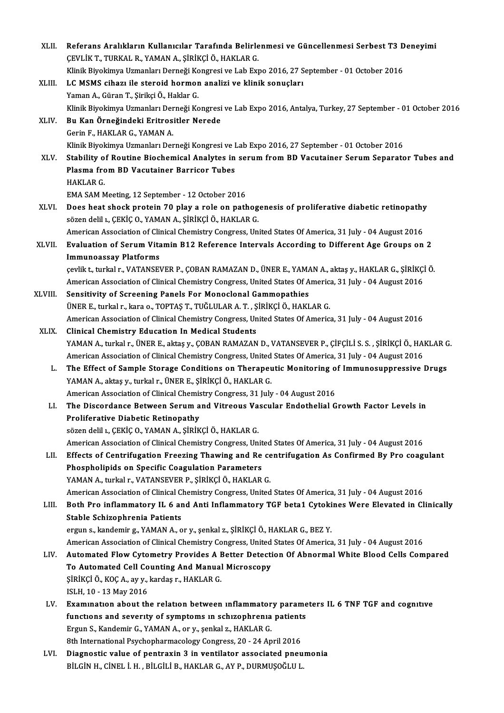| XLII.   | Referans Aralıkların Kullanıcılar Tarafında Belirlenmesi ve Güncellenmesi Serbest T3 Deneyimi                                                                             |
|---------|---------------------------------------------------------------------------------------------------------------------------------------------------------------------------|
|         | ÇEVLİK T., TURKAL R., YAMAN A., ŞİRİKÇİ Ö., HAKLAR G.                                                                                                                     |
|         | Klinik Biyokimya Uzmanları Derneği Kongresi ve Lab Expo 2016, 27 September - 01 October 2016                                                                              |
| XLIII.  | LC MSMS cihazı ile steroid hormon analizi ve klinik sonuçları                                                                                                             |
|         | Yaman A., Güran T., Şirikçi Ö., Haklar G.                                                                                                                                 |
|         | Klinik Biyokimya Uzmanları Derneği Kongresi ve Lab Expo 2016, Antalya, Turkey, 27 September - 01 October 2016                                                             |
| XLIV.   | Bu Kan Örneğindeki Eritrositler Nerede                                                                                                                                    |
|         | Gerin F., HAKLAR G., YAMAN A.                                                                                                                                             |
|         | Klinik Biyokimya Uzmanları Derneği Kongresi ve Lab Expo 2016, 27 September - 01 October 2016                                                                              |
| XLV.    | Stability of Routine Biochemical Analytes in serum from BD Vacutainer Serum Separator Tubes and                                                                           |
|         | Plasma from BD Vacutainer Barricor Tubes                                                                                                                                  |
|         | <b>HAKLAR G.</b>                                                                                                                                                          |
|         | EMA SAM Meeting, 12 September - 12 October 2016                                                                                                                           |
| XLVI.   | Does heat shock protein 70 play a role on pathogenesis of proliferative diabetic retinopathy                                                                              |
|         | sözen delil 1., ÇEKİÇ 0., YAMAN A., ŞİRİKÇİ Ö., HAKLAR G.                                                                                                                 |
|         | American Association of Clinical Chemistry Congress, United States Of America, 31 July - 04 August 2016                                                                   |
| XLVII.  | Evaluation of Serum Vitamin B12 Reference Intervals According to Different Age Groups on 2                                                                                |
|         | <b>Immunoassay Platforms</b>                                                                                                                                              |
|         | çevlik t., turkal r., VATANSEVER P., ÇOBAN RAMAZAN D., ÜNER E., YAMAN A., aktaş y., HAKLAR G., ŞİRİKÇİ Ö.                                                                 |
|         | American Association of Clinical Chemistry Congress, United States Of America, 31 July - 04 August 2016                                                                   |
| XLVIII. | Sensitivity of Screening Panels For Monoclonal Gammopathies                                                                                                               |
|         | ÜNER E., turkal r., kara o., TOPTAŞ T., TUĞLULAR A. T., ŞİRİKÇİ Ö., HAKLAR G.                                                                                             |
|         | American Association of Clinical Chemistry Congress, United States Of America, 31 July - 04 August 2016                                                                   |
| XLIX.   | <b>Clinical Chemistry Education In Medical Students</b><br>YAMAN A., turkal r., ÜNER E., aktaş y., ÇOBAN RAMAZAN D., VATANSEVER P., ÇİFÇİLİ S. S. , ŞİRİKÇİ Ö., HAKLAR G. |
|         | American Association of Clinical Chemistry Congress, United States Of America, 31 July - 04 August 2016                                                                   |
| L.      | The Effect of Sample Storage Conditions on Therapeutic Monitoring of Immunosuppressive Drugs                                                                              |
|         | YAMAN A., aktaş y., turkal r., ÜNER E., ŞİRİKÇİ Ö., HAKLAR G.                                                                                                             |
|         | American Association of Clinical Chemistry Congress, 31 July - 04 August 2016                                                                                             |
| LI.     | The Discordance Between Serum and Vitreous Vascular Endothelial Growth Factor Levels in                                                                                   |
|         | Proliferative Diabetic Retinopathy                                                                                                                                        |
|         | sözen delil 1., ÇEKİÇ O., YAMAN A., ŞİRİKÇİ Ö., HAKLAR G.                                                                                                                 |
|         | American Association of Clinical Chemistry Congress, United States Of America, 31 July - 04 August 2016                                                                   |
| LII.    | Effects of Centrifugation Freezing Thawing and Re centrifugation As Confirmed By Pro coagulant                                                                            |
|         | Phospholipids on Specific Coagulation Parameters                                                                                                                          |
|         | YAMAN A., turkal r., VATANSEVER P., ŞİRİKÇİ Ö., HAKLAR G.                                                                                                                 |
|         | American Association of Clinical Chemistry Congress, United States Of America, 31 July - 04 August 2016                                                                   |
| LIII.   | Both Pro inflammatory IL 6 and Anti Inflammatory TGF beta1 Cytokines Were Elevated in Clinically                                                                          |
|         | Stable Schizophrenia Patients                                                                                                                                             |
|         | ergun s., kandemir g., YAMAN A., or y., şenkal z., ŞİRİKÇİ Ö., HAKLAR G., BEZ Y.                                                                                          |
|         | American Association of Clinical Chemistry Congress, United States Of America, 31 July - 04 August 2016                                                                   |
| LIV.    | Automated Flow Cytometry Provides A Better Detection Of Abnormal White Blood Cells Compared                                                                               |
|         | To Automated Cell Counting And Manual Microscopy                                                                                                                          |
|         | ŞİRİKÇİ Ö., KOÇ A., ay y., kardaş r., HAKLAR G.<br>ISLH, 10 - 13 May 2016                                                                                                 |
| LV.     | Examination about the relation between inflammatory parameters IL 6 TNF TGF and cognitive                                                                                 |
|         | functions and severity of symptoms in schizophrenia patients                                                                                                              |
|         | Ergun S., Kandemir G., YAMAN A., or y., şenkal z., HAKLAR G.                                                                                                              |
|         | 8th International Psychopharmacology Congress, 20 - 24 April 2016                                                                                                         |
| LVI.    | Diagnostic value of pentraxin 3 in ventilator associated pneumonia                                                                                                        |
|         | BİLGİN H., CİNEL İ. H. , BİLGİLİ B., HAKLAR G., AY P., DURMUŞOĞLU L.                                                                                                      |
|         |                                                                                                                                                                           |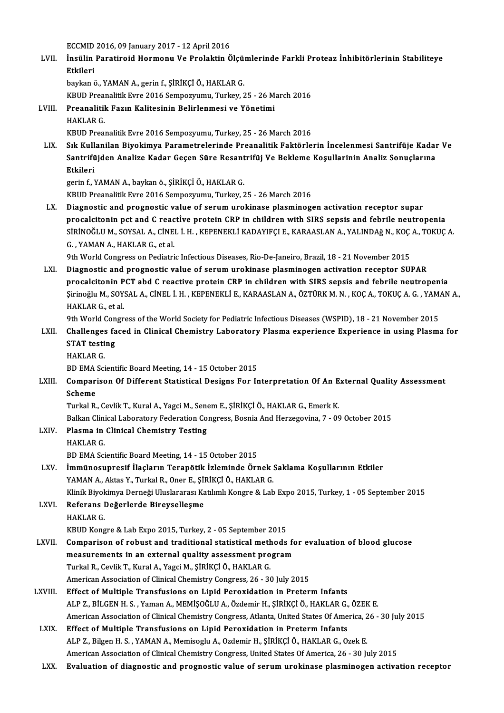eccMID 2016, 09 January 2017 - 12 April 2016<br>Insülin Perstineid Hermeny Ve Prelektin Ö

|        | ECCMID 2016, 09 January 2017 - 12 April 2016                                                     |
|--------|--------------------------------------------------------------------------------------------------|
| LVII.  | İnsülin Paratiroid Hormonu Ve Prolaktin Ölçümlerinde Farkli Proteaz İnhibitörlerinin Stabiliteye |
|        | Etkileri                                                                                         |
|        | baykan ö., YAMAN A., gerin f., ŞİRİKÇİ Ö., HAKLAR G.                                             |
|        | KBUD Preanalitik Evre 2016 Sempozyumu, Turkey, 25 - 26 March 2016                                |
| т ултт | Droonalitik Ragin Valitaajnin Dalirlanmaai va Vänatimi                                           |

LVIII. Preanalitik Fazın Kalitesinin Belirlenmesi ve Yönetimi<br>HAKLAR G. KBUD Prea<br><mark>Preanalitil</mark><br>HAKLAR G.<br>KRUD Preal

KBUD Preanalitik Evre 2016 Sempozyumu, Turkey, 25 - 26 March 2016

LIX. Sık Kullanilan Biyokimya Parametrelerinde Preanalitik Faktörlerin İncelenmesi Santrifüje Kadar Ve KBUD Preanalitik Evre 2016 Sempozyumu, Turkey, 25 - 26 March 2016<br>Sık Kullanilan Biyokimya Parametrelerinde Preanalitik Faktörlerin İncelenmesi Santrifüje Kadaı<br>Santrifüjden Analize Kadar Geçen Süre Resantrifüj Ve Bekleme Sık Kull<br>Santrifü<br>Etkileri<br>serin f. 3 Santrifüjden Analize Kadar Geçen Süre Resant<br>Etkileri<br>gerin f., YAMAN A., baykan ö., ŞİRİKÇİ Ö., HAKLAR G.<br>KRUD Prespelitik Erme 2016 Sempertayanı Turkey 2 **Etkileri**<br>gerin f., YAMAN A., baykan ö., ŞİRİKÇİ Ö., HAKLAR G.<br>KBUD Preanalitik Evre 2016 Sempozyumu, Turkey, 25 - 26 March 2016

LX. Diagnostic and prognostic value of serum urokinase plasminogen activation receptor supar procalcitonin pct and C reactİve protein CRP in children with SIRS sepsis and febrile neutropenia Diagnostic and prognostic value of serum urokinase plasminogen activation receptor supar<br>procalcitonin pct and C reactive protein CRP in children with SIRS sepsis and febrile neutropenia<br>SİRİNOĞLU M., SOYSAL A., CİNEL İ. H procalcitonin pct and C reac<br>SiRiNOĞLU M., SOYSAL A., CINE<br>G. , YAMAN A., HAKLAR G., et al.<br>.<br>Oth World Congress on Bodiatri SİRİNOĞLU M., SOYSAL A., CİNEL İ. H. , KEPENEKLİ KADAYIFÇI E., KARAASLAN A., YALINDAğ N., KOÇ<br>G. , YAMAN A., HAKLAR G., et al.<br>9th World Congress on Pediatric Infectious Diseases, Rio-De-Janeiro, Brazil, 18 - 21 November 2 G. , YAMAN A., HAKLAR G., et al.<br>9th World Congress on Pediatric Infectious Diseases, Rio-De-Janeiro, Brazil, 18 - 21 November 2015<br>LXI. Diagnostic and prognostic value of serum urokinase plasminogen activation recepto

9th World Congress on Pediatric Infectious Diseases, Rio-De-Janeiro, Brazil, 18 - 21 November 2015<br>Diagnostic and prognostic value of serum urokinase plasminogen activation receptor SUPAR<br>procalcitonin PCT abd C reactive p Diagnostic and prognostic value of serum urokinase plasminogen activation receptor SUPAR<br>procalcitonin PCT abd C reactive protein CRP in children with SIRS sepsis and febrile neutropenia<br>Şirinoğlu M., SOYSAL A., CİNEL İ. H <mark>procalcitonin P</mark><br>Şirinoğlu M., SOY:<br>HAKLAR G., et al.<br><sup>Oth World Congr</sup> Şirinoğlu M., SOYSAL A., CİNEL İ. H. , KEPENEKLİ E., KARAASLAN A., ÖZTÜRK M. N. , KOÇ A., TOKUÇ A. G. , YAM.<br>HAKLAR G., et al.<br>9th World Congress of the World Society for Pediatric Infectious Diseases (WSPID), 18 - 21 Nove

# HAKLAR G., et al.<br>9th World Congress of the World Society for Pediatric Infectious Diseases (WSPID), 18 - 21 November 2015<br>LXII. Challenges faced in Clinical Chemistry Laboratory Plasma experience Experience in using Plasm **9th World Con<br>Challenges fa<br>STAT testing<br>HAKLAB C** Challenges<br>STAT testi<br>HAKLAR G.<br>PD EMA Sci STAT testing<br>HAKLAR G.<br>BD EMA Scientific Board Meeting, 14 - 15 October 2015<br>Comparison Of Different Statistical Designs For In

# HAKLAR G.<br>BD EMA Scientific Board Meeting, 14 - 15 October 2015<br>LXIII. Comparison Of Different Statistical Designs For Interpretation Of An External Quality Assessment<br>Scheme BD EMA<br>Compari<br>Scheme<br>Turkel P

Turkal R., Cevlik T., Kural A., Yagci M., Senem E., ŞİRİKÇİ Ö., HAKLAR G., Emerk K.

Balkan Clinical Laboratory Federation Congress, Bosnia And Herzegovina, 7 - 09 October 2015

- Turkal R., Cevlik T., Kural A., Yagci M., Sene<br>Balkan Clinical Laboratory Federation Co<br>LXIV. Plasma in Clinical Chemistry Testing Balkan Clini<br><mark>Plasma in</mark><br>HAKLAR G.<br>PD EMA Sci
	-

HAKLAR G.<br>BD EMA Scientific Board Meeting, 14 - 15 October 2015

- HAKLAR G.<br>BD EMA Scientific Board Meeting, 14 15 October 2015<br>LXV. İmmünosupresif İlaçların Terapötik İzleminde Örnek Saklama Koşullarının Etkiler<br>YAMAN A. Altas Y. Turkal B. Opar E. Sipikçi Ö. HAKLAR G. BD EMA Scientific Board Meeting, 14 - 15 October 2015<br>İmmünosupresif İlaçların Terapötik İzleminde Örnek :<br>YAMAN A., Aktas Y., Turkal R., Oner E., ŞİRİKÇİ Ö., HAKLAR G.<br>Kinik Biyokimya Damaği Huslananası Katılımlı Kangra & YAMAN A., Aktas Y., Turkal R., Oner E., ŞİRİKÇİ Ö., HAKLAR G.<br>Klinik Biyokimya Derneği Uluslararası Katılımlı Kongre & Lab Expo 2015, Turkey, 1 - 05 September 2015 YAMAN A., Aktas Y., Turkal R., Oner E., ŞİI<br>Klinik Biyokimya Derneği Uluslararası Ka<br>LXVI. Referans Değerlerde Bireyselleşme
- Klinik Biyok<br>Referans I<br>HAKLAR G.<br>KRUD Kong

KBUDKongre&LabExpo 2015,Turkey,2 -05 September 2015

- HAKLAR G.<br>KBUD Kongre & Lab Expo 2015, Turkey, 2 05 September 2015<br>LXVII. Comparison of robust and traditional statistical methods for evaluation of blood glucose<br>measurements in an ayternal quality assessment program KBUD Kongre & Lab Expo 2015, Turkey, 2 - 05 September 2015<br>Comparison of robust and traditional statistical methods for<br>measurements in an external quality assessment program<br>Turkel B. Coulit T. Kural A. Yoggi M. Sipikei Ö Comparison of robust and traditional statistical meth<br>measurements in an external quality assessment pro<br>Turkal R., Cevlik T., Kural A., Yagci M., ŞİRİKÇİ Ö., HAKLAR G.<br>American Accociation of Clinical Chemistry Congress, measurements in an external quality assessment program<br>Turkal R., Cevlik T., Kural A., Yagci M., ŞİRİKÇİ Ö., HAKLAR G.<br>American Association of Clinical Chemistry Congress, 26 - 30 July 2015
- LXVIII. Effect of Multiple Transfusions on Lipid Peroxidation in Preterm Infants ALPZ.,BİLGENH.S. ,YamanA.,MEMİŞOĞLUA.,ÖzdemirH.,ŞİRİKÇİÖ.,HAKLARG.,ÖZEKE. Effect of Multiple Transfusions on Lipid Peroxidation in Preterm Infants<br>ALP Z., BİLGEN H. S. , Yaman A., MEMİŞOĞLU A., Özdemir H., ŞİRİKÇİ Ö., HAKLAR G., ÖZEK E.<br>American Association of Clinical Chemistry Congress, Atlant
	- LXIX. Effect of Multiple Transfusions on Lipid Peroxidation in Preterm Infants<br>ALP Z., Bilgen H. S., YAMAN A., Memisoglu A., Ozdemir H., ŞİRİKÇİ Ö., HAKLAR G., Ozek E. American Association of Clinical Chemistry Congress, Atlanta, United States Of America, 2<br>Effect of Multiple Transfusions on Lipid Peroxidation in Preterm Infants<br>ALP Z., Bilgen H. S. , YAMAN A., Memisoglu A., Ozdemir H., American Association of Clinical Chemistry Congress, United States Of America, 26 - 30 July 2015
	- LXX. Evaluation of diagnostic and prognostic value of serum urokinase plasminogen activation receptor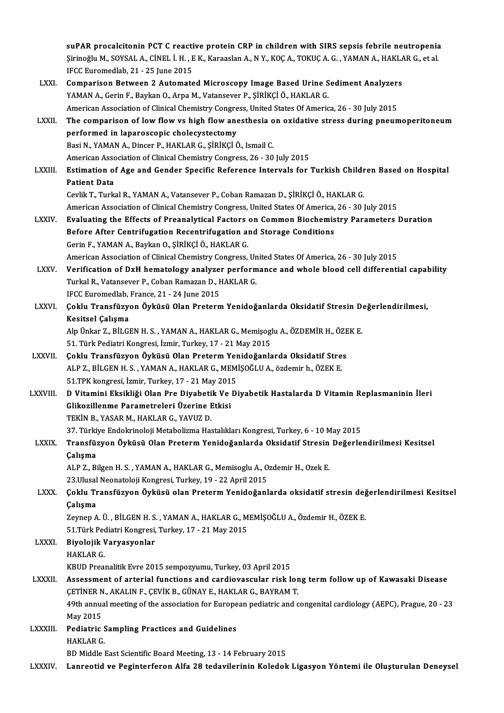|                 | suPAR procalcitonin PCT C reactive protein CRP in children with SIRS sepsis febrile neutropenia                                                         |
|-----------------|---------------------------------------------------------------------------------------------------------------------------------------------------------|
|                 | Şirinoğlu M., SOYSAL A., CİNEL İ. H. , E K., Karaaslan A., N Y., KOÇ A., TOKUÇ A. G. , YAMAN A., HAKLAR G., et al<br>IFCC Euromedlab, 21 - 25 June 2015 |
| LXXI.           | Comparison Between 2 Automated Microscopy Image Based Urine Sediment Analyzers                                                                          |
|                 | YAMAN A., Gerin F., Baykan O., Arpa M., Vatansever P., ŞİRİKÇİ Ö., HAKLAR G.                                                                            |
|                 | American Association of Clinical Chemistry Congress, United States Of America, 26 - 30 July 2015                                                        |
| LXXII.          | The comparison of low flow vs high flow anesthesia on oxidative stress during pneumoperitoneum                                                          |
|                 | performed in laparoscopic cholecystectomy                                                                                                               |
|                 | Basi N., YAMAN A., Dincer P., HAKLAR G., ŞİRİKÇİ Ö., Ismail C.                                                                                          |
|                 | American Association of Clinical Chemistry Congress, 26 - 30 July 2015                                                                                  |
| <b>LXXIII</b>   | Estimation of Age and Gender Specific Reference Intervals for Turkish Children Based on Hospital<br><b>Patient Data</b>                                 |
|                 | Cevlik T., Turkal R., YAMAN A., Vatansever P., Coban Ramazan D., ŞİRİKÇİ Ö., HAKLAR G.                                                                  |
|                 | American Association of Clinical Chemistry Congress, United States Of America, 26 - 30 July 2015                                                        |
| <b>LXXIV</b>    | Evaluating the Effects of Preanalytical Factors on Common Biochemistry Parameters Duration                                                              |
|                 | Before After Centrifugation Recentrifugation and Storage Conditions                                                                                     |
|                 | Gerin F., YAMAN A., Baykan O., ŞİRİKÇİ Ö., HAKLAR G.                                                                                                    |
|                 | American Association of Clinical Chemistry Congress, United States Of America, 26 - 30 July 2015                                                        |
| <b>LXXV</b>     | Verification of DxH hematology analyzer performance and whole blood cell differential capability                                                        |
|                 | Turkal R., Vatansever P., Coban Ramazan D., HAKLAR G.                                                                                                   |
|                 | IFCC Euromedlab, France, 21 - 24 June 2015                                                                                                              |
| <b>LXXVI</b> .  | Çoklu Transfüzyon Öyküsü Olan Preterm Yenidoğanlarda Oksidatif Stresin Değerlendirilmesi,                                                               |
|                 | Kesitsel Çalışma                                                                                                                                        |
|                 | Alp Ünkar Z., BİLGEN H. S., YAMAN A., HAKLAR G., Memişoglu A., ÖZDEMİR H., ÖZEK E.                                                                      |
|                 | 51. Türk Pediatri Kongresi, İzmir, Turkey, 17 - 21 May 2015                                                                                             |
| <b>LXXVII</b>   | Çoklu Transfüzyon Öyküsü Olan Preterm Yenidoğanlarda Oksidatif Stres<br>ALP Z., BİLGEN H. S., YAMAN A., HAKLAR G., MEMİŞOĞLU A., özdemir h., ÖZEK E.    |
|                 | 51 TPK kongresi, İzmir, Turkey, 17 - 21 May 2015                                                                                                        |
| <b>LXXVIII.</b> | D Vitamini Eksikliği Olan Pre Diyabetik Ve Diyabetik Hastalarda D Vitamin Replasmaninin İleri                                                           |
|                 | Glikozillenme Parametreleri Üzerine Etkisi                                                                                                              |
|                 | TEKİN B., YASAR M., HAKLAR G., YAVUZ D.                                                                                                                 |
|                 | 37. Türkiye Endokrinoloji Metabolizma Hastalıkları Kongresi, Turkey, 6 - 10 May 2015                                                                    |
| <b>LXXIX</b>    | Transfüzyon Öyküsü Olan Preterm Yenidoğanlarda Oksidatif Stresin Değerlendirilmesi Kesitsel                                                             |
|                 | Çalışma                                                                                                                                                 |
|                 | ALP Z., Bilgen H. S., YAMAN A., HAKLAR G., Memisoglu A., Ozdemir H., Ozek E.                                                                            |
|                 | 23. Ulusal Neonatoloji Kongresi, Turkey, 19 - 22 April 2015                                                                                             |
| <b>LXXX</b>     | Çoklu Transfüzyon Öyküsü olan Preterm Yenidoğanlarda oksidatif stresin değerlendirilmesi Kesitsel                                                       |
|                 | Çalışma                                                                                                                                                 |
|                 | Zeynep A. Ü., BİLGEN H. S., YAMAN A., HAKLAR G., MEMİŞOĞLU A., Özdemir H., ÖZEK E.                                                                      |
|                 | 51 Türk Pediatri Kongresi, Turkey, 17 - 21 May 2015                                                                                                     |
| <b>LXXXI</b>    | Biyolojik Varyasyonlar                                                                                                                                  |
|                 | <b>HAKLAR G.</b>                                                                                                                                        |
|                 | KBUD Preanalitik Evre 2015 sempozyumu, Turkey, 03 April 2015                                                                                            |
| <b>LXXXII</b>   | Assessment of arterial functions and cardiovascular risk long term follow up of Kawasaki Disease                                                        |
|                 | ÇETİNER N., AKALIN F., ÇEVİK B., GÜNAY E., HAKLAR G., BAYRAM T.                                                                                         |
|                 | 49th annual meeting of the association for European pediatric and congenital cardiology (AEPC), Prague, 20 - 23                                         |
|                 | May 2015                                                                                                                                                |
| LXXXIII.        | <b>Pediatric Sampling Practices and Guidelines</b>                                                                                                      |
|                 | <b>HAKLAR G.</b>                                                                                                                                        |
|                 | BD Middle East Scientific Board Meeting, 13 - 14 February 2015                                                                                          |
| <b>LXXXIV</b>   | Lanreotid ve Peginterferon Alfa 28 tedavilerinin Koledok Ligasyon Yöntemi ile Oluşturulan Deneysel                                                      |
|                 |                                                                                                                                                         |